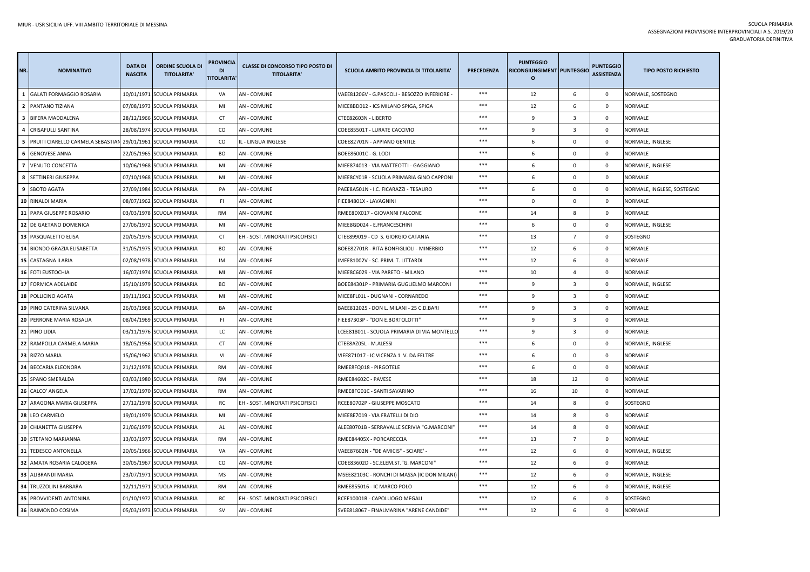| NR.                      | <b>NOMINATIVO</b>                | <b>DATA DI</b><br><b>NASCITA</b> | <b>ORDINE SCUOLA DI</b><br><b>TITOLARITA'</b> | PROVINCIA<br><b>DI</b><br><b>TITOLARITA</b> | <b>CLASSE DI CONCORSO TIPO POSTO DI</b><br><b>TITOLARITA'</b> | <b>SCUOLA AMBITO PROVINCIA DI TITOLARITA</b> | <b>PRECEDENZA</b> | <b>PUNTEGGIO</b><br>RICONGIUNGIMENT PUNTEGGIO<br>$\circ$ |                         | <b>PUNTEGGIO</b><br><b>ASSISTENZA</b> | <b>TIPO POSTO RICHIESTO</b> |
|--------------------------|----------------------------------|----------------------------------|-----------------------------------------------|---------------------------------------------|---------------------------------------------------------------|----------------------------------------------|-------------------|----------------------------------------------------------|-------------------------|---------------------------------------|-----------------------------|
| $\mathbf{1}$             | <b>GALATI FORMAGGIO ROSARIA</b>  |                                  | 10/01/1971 SCUOLA PRIMARIA                    | VA                                          | <b>AN - COMUNE</b>                                            | VAEE81206V - G.PASCOLI - BESOZZO INFERIORE   | ***               | 12                                                       | 6                       | $\mathbf 0$                           | NORMALE, SOSTEGNO           |
| $\overline{2}$           | PANTANO TIZIANA                  |                                  | 07/08/1973 SCUOLA PRIMARIA                    | MI                                          | <b>AN - COMUNE</b>                                            | MIEE8BD012 - ICS MILANO SPIGA, SPIGA         | ***               | 12                                                       | 6                       | $\Omega$                              | NORMALE                     |
|                          | 3 BIFERA MADDALENA               |                                  | 28/12/1966 SCUOLA PRIMARIA                    | CT                                          | <b>AN - COMUNE</b>                                            | CTEE82603N - LIBERTO                         | ***               | $\overline{9}$                                           | $\overline{\mathbf{3}}$ | $\mathbf 0$                           | <b>NORMALE</b>              |
|                          | 4 CRISAFULLI SANTINA             |                                  | 28/08/1974 SCUOLA PRIMARIA                    | CO                                          | <b>AN - COMUNE</b>                                            | COEE85501T - LURATE CACCIVIO                 | ***               | $\overline{9}$                                           | $\overline{3}$          | $\mathbf 0$                           | NORMALE                     |
| 5                        | PRUITI CIARELLO CARMELA SEBASTIA |                                  | 29/01/1961 SCUOLA PRIMARIA                    | CO                                          | IL - LINGUA INGLESE                                           | COEE82701N - APPIANO GENTILE                 | ***               | 6                                                        | $\mathbf 0$             | $\Omega$                              | NORMALE, INGLESE            |
| 6                        | <b>GENOVESE ANNA</b>             |                                  | 22/05/1965 SCUOLA PRIMARIA                    | <b>BO</b>                                   | <b>AN - COMUNE</b>                                            | BOEE86001C - G. LODI                         | ***               | 6                                                        | $\mathbf 0$             | $\mathbf 0$                           | <b>NORMALE</b>              |
| $\overline{\phantom{a}}$ | <b>VENUTO CONCETTA</b>           |                                  | 10/06/1968 SCUOLA PRIMARIA                    | MI                                          | <b>AN - COMUNE</b>                                            | MIEE874013 - VIA MATTEOTTI - GAGGIANO        | ***               | 6                                                        | $\mathbf 0$             | $\mathbf 0$                           | NORMALE, INGLESE            |
|                          | 8 SETTINERI GIUSEPPA             |                                  | 07/10/1968 SCUOLA PRIMARIA                    | MI                                          | <b>AN - COMUNE</b>                                            | MIEE8CY01R - SCUOLA PRIMARIA GINO CAPPONI    | ***               | 6                                                        | $\mathbf 0$             | $\mathbf{0}$                          | <b>NORMALE</b>              |
|                          | 9 SBOTO AGATA                    |                                  | 27/09/1984 SCUOLA PRIMARIA                    | PA                                          | <b>AN - COMUNE</b>                                            | PAEE8A501N - I.C. FICARAZZI - TESAURO        | ***               | 6                                                        | $\mathbf 0$             | $\mathbf 0$                           | NORMALE, INGLESE, SOSTEGNO  |
| 10                       | RINALDI MARIA                    |                                  | 08/07/1962 SCUOLA PRIMARIA                    | FL.                                         | <b>AN - COMUNE</b>                                            | FIEE84801X - LAVAGNINI                       | ***               | $\mathbf 0$                                              | $\mathbf 0$             | $\mathbf{0}$                          | <b>NORMALE</b>              |
| 11                       | PAPA GIUSEPPE ROSARIO            |                                  | 03/03/1978 SCUOLA PRIMARIA                    | <b>RM</b>                                   | <b>AN - COMUNE</b>                                            | RMEE8DX017 - GIOVANNI FALCONE                | ***               | 14                                                       | 8                       | $\mathbf{0}$                          | NORMALE                     |
| 12                       | DE GAETANO DOMENICA              |                                  | 27/06/1972 SCUOLA PRIMARIA                    | MI                                          | AN - COMUNE                                                   | MIEE8GD024 - E.FRANCESCHINI                  | $***$             | 6                                                        | $\mathsf 0$             | $\mathbf 0$                           | NORMALE, INGLESE            |
|                          | 13 PASQUALETTO ELISA             |                                  | 20/05/1976 SCUOLA PRIMARIA                    | <b>CT</b>                                   | EH - SOST. MINORATI PSICOFISICI                               | CTEE899019 - CD S. GIORGIO CATANIA           | ***               | 13                                                       | $\overline{7}$          | $\mathbf 0$                           | SOSTEGNO                    |
|                          | 14 BIONDO GRAZIA ELISABETTA      |                                  | 31/05/1975 SCUOLA PRIMARIA                    | <b>BO</b>                                   | <b>AN - COMUNE</b>                                            | BOEE82701R - RITA BONFIGLIOLI - MINERBIO     | $***$             | 12                                                       | 6                       | $\mathbf 0$                           | <b>NORMALE</b>              |
|                          | 15 CASTAGNA ILARIA               |                                  | 02/08/1978 SCUOLA PRIMARIA                    | IM                                          | AN - COMUNE                                                   | IMEE81002V - SC. PRIM. T. LITTARDI           | ***               | 12                                                       | 6                       | $\mathbf 0$                           | NORMALE                     |
| 16                       | <b>FOTI EUSTOCHIA</b>            |                                  | 16/07/1974 SCUOLA PRIMARIA                    | MI                                          | <b>AN - COMUNE</b>                                            | MIEE8C6029 - VIA PARETO - MILANO             | ***               | 10                                                       | $\overline{4}$          | $\mathbf 0$                           | NORMALE                     |
| 17                       | <b>FORMICA ADELAIDE</b>          |                                  | 15/10/1979 SCUOLA PRIMARIA                    | BO                                          | AN - COMUNE                                                   | BOEE84301P - PRIMARIA GUGLIELMO MARCONI      | ***               | 9                                                        | 3                       | $\mathbf 0$                           | NORMALE, INGLESE            |
|                          | 18 POLLICINO AGATA               |                                  | 19/11/1961 SCUOLA PRIMARIA                    | MI                                          | <b>AN - COMUNE</b>                                            | MIEE8FL01L - DUGNANI - CORNAREDO             | ***               | 9                                                        | $\overline{3}$          | $\mathbf 0$                           | <b>NORMALE</b>              |
|                          | <b>19 PINO CATERINA SILVANA</b>  |                                  | 26/03/1968 SCUOLA PRIMARIA                    | BA                                          | <b>AN - COMUNE</b>                                            | BAEE812025 - DON L. MILANI - 25 C.D.BARI     | ***               | $\mathbf{q}$                                             | $\overline{3}$          | $\mathbf 0$                           | <b>NORMALE</b>              |
|                          | 20 PERRONE MARIA ROSALIA         |                                  | 08/04/1969 SCUOLA PRIMARIA                    | -FI                                         | AN - COMUNE                                                   | FIEE87303P - "DON E.BORTOLOTTI"              | ***               | 9                                                        | $\overline{\mathbf{3}}$ | $\mathbf 0$                           | NORMALE                     |
|                          | 21 PINO LIDIA                    |                                  | 03/11/1976 SCUOLA PRIMARIA                    | LC                                          | <b>AN - COMUNE</b>                                            | LCEE81801L - SCUOLA PRIMARIA DI VIA MONTELLO | ***               | $\overline{9}$                                           | $\overline{3}$          | $\mathbf 0$                           | <b>NORMALE</b>              |
| 22                       | RAMPOLLA CARMELA MARIA           |                                  | 18/05/1956 SCUOLA PRIMARIA                    | CT                                          | <b>AN - COMUNE</b>                                            | CTEE8AZ05L - M.ALESSI                        | ***               | 6                                                        | $\mathbf 0$             | $\mathbf 0$                           | NORMALE, INGLESE            |
|                          | 23 RIZZO MARIA                   |                                  | 15/06/1962 SCUOLA PRIMARIA                    | VI                                          | <b>AN - COMUNE</b>                                            | VIEE871017 - IC VICENZA 1 V. DA FELTRE       | ***               | 6                                                        | $\mathbf 0$             | $\mathbf 0$                           | NORMALE                     |
|                          | 24 BECCARIA ELEONORA             |                                  | 21/12/1978 SCUOLA PRIMARIA                    | <b>RM</b>                                   | AN - COMUNE                                                   | RMEE8FQ018 - PIRGOTELE                       | ***               | 6                                                        | $\mathbf 0$             | $\mathbf{0}$                          | <b>NORMALE</b>              |
|                          | 25 SPANO SMERALDA                |                                  | 03/03/1980 SCUOLA PRIMARIA                    | RM                                          | AN - COMUNE                                                   | RMEE84602C - PAVESE                          | ***               | 18                                                       | 12                      | $\mathbf 0$                           | NORMALE                     |
|                          | 26 CALCO' ANGELA                 |                                  | 17/02/1970 SCUOLA PRIMARIA                    | <b>RM</b>                                   | <b>AN - COMUNE</b>                                            | RMEE8FG01C - SANTI SAVARINO                  | ***               | 16                                                       | 10                      | $\mathbf 0$                           | <b>NORMALE</b>              |
|                          | 27 ARAGONA MARIA GIUSEPPA        |                                  | 27/12/1978 SCUOLA PRIMARIA                    | RC                                          | EH - SOST. MINORATI PSICOFISICI                               | RCEE80702P - GIUSEPPE MOSCATO                | ***               | 14                                                       | 8                       | $\mathbf{0}$                          | SOSTEGNO                    |
|                          | 28 LEO CARMELO                   |                                  | 19/01/1979 SCUOLA PRIMARIA                    | MI                                          | <b>AN - COMUNE</b>                                            | MIEE8E7019 - VIA FRATELLI DI DIO             | ***               | 14                                                       | 8                       | $\mathbf 0$                           | NORMALE                     |
|                          | 29 CHIANETTA GIUSEPPA            |                                  | 21/06/1979 SCUOLA PRIMARIA                    | AL                                          | <b>AN - COMUNE</b>                                            | ALEE80701B - SERRAVALLE SCRIVIA "G.MARCONI'  | ***               | 14                                                       | 8                       | $\mathbf 0$                           | <b>NORMALE</b>              |
|                          | <b>30 STEFANO MARIANNA</b>       |                                  | 13/03/1977 SCUOLA PRIMARIA                    | RM                                          | <b>AN - COMUNE</b>                                            | RMEE84405X - PORCARECCIA                     | ***               | 13                                                       | $\overline{7}$          | $\mathbf 0$                           | NORMALE                     |
|                          | 31 TEDESCO ANTONELLA             |                                  | 20/05/1966 SCUOLA PRIMARIA                    | VA                                          | <b>AN - COMUNE</b>                                            | VAEE87602N - "DE AMICIS" - SCIARE' -         | ***               | 12                                                       | 6                       | $\mathbf 0$                           | NORMALE, INGLESE            |
| 32                       | AMATA ROSARIA CALOGERA           |                                  | 30/05/1967 SCUOLA PRIMARIA                    | CO                                          | <b>AN - COMUNE</b>                                            | COEE83602D - SC.ELEM.ST."G. MARCONI"         | ***               | 12                                                       | 6                       | $\mathbf 0$                           | <b>NORMALE</b>              |
| 33                       | <b>ALIBRANDI MARIA</b>           |                                  | 23/07/1971 SCUOLA PRIMARIA                    | <b>MS</b>                                   | <b>AN - COMUNE</b>                                            | MSEE82103C - RONCHI DI MASSA (IC DON MILANI) | ***               | 12                                                       | 6                       | 0                                     | NORMALE, INGLESE            |
| 34                       | <b>TRUZZOLINI BARBARA</b>        | 12/11/1971                       | <b>SCUOLA PRIMARIA</b>                        | <b>RM</b>                                   | <b>AN - COMUNE</b>                                            | RMEE855016 - IC MARCO POLO                   | ***               | 12                                                       | 6                       | $\mathbf 0$                           | NORMALE, INGLESE            |
|                          | 35 PROVVIDENTI ANTONINA          |                                  | 01/10/1972 SCUOLA PRIMARIA                    | RC                                          | EH - SOST. MINORATI PSICOFISICI                               | RCEE10001R - CAPOLUOGO MEGALI                | ***               | 12                                                       | 6                       | $\mathbf 0$                           | SOSTEGNO                    |
|                          | 36 RAIMONDO COSIMA               |                                  | 05/03/1973 SCUOLA PRIMARIA                    | <b>SV</b>                                   | <b>AN - COMUNE</b>                                            | SVEE818067 - FINALMARINA "ARENE CANDIDE"     | ***               | 12                                                       | 6                       | $\mathbf 0$                           | <b>NORMALE</b>              |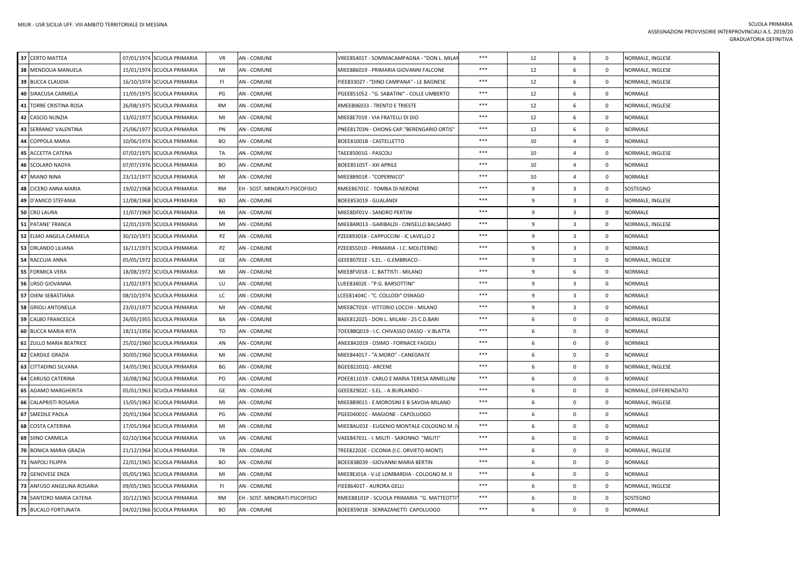| 37 CERTO MATTEA              | 07/01/1974 SCUOLA PRIMARIA | <b>VR</b> | <b>AN - COMUNE</b>              | VREE85401T - SOMMACAMPAGNA - "DON L. MILAI  | ***   | 12 | 6                       | $\mathbf 0$    | NORMALE, INGLESE       |
|------------------------------|----------------------------|-----------|---------------------------------|---------------------------------------------|-------|----|-------------------------|----------------|------------------------|
| 38 MENDOLIA MANUELA          | 15/01/1974 SCUOLA PRIMARIA | MI        | <b>AN - COMUNE</b>              | MIEE886019 - PRIMARIA GIOVANNI FALCONE      | ***   | 12 | 6                       | $\mathbf 0$    | NORMALE, INGLESE       |
| 39 BUCCA CLAUDIA             | 16/10/1974 SCUOLA PRIMARIA | FI.       | <b>AN - COMUNE</b>              | FIEE833027 - "DINO CAMPANA" - LE BAGNESE    | $***$ | 12 | 6                       | $\overline{0}$ | NORMALE, INGLESE       |
| 40 SIRACUSA CARMELA          | 11/05/1975 SCUOLA PRIMARIA | PG        | AN - COMUNE                     | PGEE851052 - "G. SABATINI" - COLLE UMBERTO  | ***   | 12 | 6                       | $\mathbf 0$    | NORMALE                |
| 41 TORRE CRISTINA ROSA       | 26/08/1975 SCUOLA PRIMARIA | <b>RM</b> | <b>AN - COMUNE</b>              | RMEE806033 - TRENTO E TRIESTE               | ***   | 12 | 6                       | $\mathbf 0$    | NORMALE, INGLESE       |
| 42 CASCIO NUNZIA             | 13/02/1977 SCUOLA PRIMARIA | MI        | <b>AN - COMUNE</b>              | MIEE8E7019 - VIA FRATELLI DI DIO            | ***   | 12 | 6                       | $\overline{0}$ | NORMALE                |
| 43 SERRANO' VALENTINA        | 25/06/1977 SCUOLA PRIMARIA | PN        | <b>AN - COMUNE</b>              | PNEE81703N - CHIONS-CAP."BERENGARIO ORTIS"  | $***$ | 12 | 6                       | $\overline{0}$ | NORMALE                |
| 44 COPPOLA MARIA             | 10/06/1974 SCUOLA PRIMARIA | <b>BO</b> | AN - COMUNE                     | BOEE81001B - CASTELLETTO                    | $***$ | 10 | $\mathbf{A}$            | $\overline{0}$ | <b>NORMALE</b>         |
| 45 ACCETTA CATENA            | 07/02/1975 SCUOLA PRIMARIA | TA        | <b>AN - COMUNE</b>              | TAEE85001G - PASCOLI                        | $***$ | 10 | $\overline{4}$          | $\mathbf 0$    | NORMALE, INGLESE       |
| 46 SCOLARO NADYA             | 07/07/1976 SCUOLA PRIMARIA | BO        | AN - COMUNE                     | BOEE85105T - XXI APRILE                     | ***   | 10 | 4                       | $\mathbf{0}$   | NORMALE                |
| 47 MIANO NINA                | 23/12/1977 SCUOLA PRIMARIA | MI        | <b>AN - COMUNE</b>              | MIEE88901R - "COPERNICO"                    | ***   | 10 | $\overline{4}$          | $\mathbf 0$    | NORMALE                |
| 48 CICERO ANNA MARIA         | 19/02/1968 SCUOLA PRIMARIA | <b>RM</b> | EH - SOST. MINORATI PSICOFISICI | RMEE86701C - TOMBA DI NERONE                | $***$ | 9  | 3                       | $\mathbf 0$    | SOSTEGNO               |
| 49 D'AMICO STEFANIA          | 12/08/1968 SCUOLA PRIMARIA | <b>BO</b> | AN - COMUNE                     | BOEE853019 - GUALANDI                       | $***$ | 9  | $\mathbf{3}$            | $\mathbf 0$    | NORMALE, INGLESE       |
| 50<br><b>CRO LAURA</b>       | 11/07/1969 SCUOLA PRIMARIA | MI        | <b>AN - COMUNE</b>              | MIEE8DF01V - SANDRO PERTINI                 | $***$ | 9  | 3                       | $\overline{0}$ | <b>NORMALE</b>         |
| 51 PATANE' FRANCA            | 12/01/1970 SCUOLA PRIMARIA | MI        | <b>AN - COMUNE</b>              | MIEE8AR013 - GARIBALDI - CINISELLO BALSAMO  | ***   | 9  | 3                       | $\overline{0}$ | NORMALE, INGLESE       |
| 52 ELMO ANGELA CARMELA       | 30/10/1971 SCUOLA PRIMARIA | PZ        | <b>AN - COMUNE</b>              | PZEE893018 - CAPPUCCINI - IC LAVELLO 2      | ***   | 9  | 3                       | $\mathbf 0$    | NORMALE                |
| 53 ORLANDO LILIANA           | 16/11/1971 SCUOLA PRIMARIA | PZ        | <b>AN - COMUNE</b>              | PZEE85501D - PRIMARIA - I.C. MOLITERNO      | ***   | 9  | $\overline{\mathbf{3}}$ | $\overline{0}$ | NORMALE                |
| 54 RACCUIA ANNA              | 05/05/1972 SCUOLA PRIMARIA | GE        | AN - COMUNE                     | GEEE80701E - S.EL. - G.EMBRIACO ·           | ***   | 9  | 3                       | $\mathbf{0}$   | NORMALE, INGLESE       |
| 55 FORMICA VERA              | 18/08/1972 SCUOLA PRIMARIA | MI        | <b>AN - COMUNE</b>              | MIEE8FV018 - C. BATTISTI - MILANO           | $***$ | 9  | 6                       | $\overline{0}$ | NORMALE                |
| 56 URSO GIOVANNA             | 11/02/1973 SCUOLA PRIMARIA | LU        | <b>AN - COMUNE</b>              | LUEE83402E - "P.G. BARSOTTINI"              | ***   | 9  | 3                       | $\mathbf 0$    | NORMALE                |
| 57 OIENI SEBASTIANA          | 08/10/1974 SCUOLA PRIMARIA | LC        | AN - COMUNE                     | LCEE81404C - "C. COLLODI" OSNAGO            | ***   | 9  | 3                       | $\mathbf 0$    | NORMALE                |
| 58 GRIOLI ANTONELLA          | 23/01/1977 SCUOLA PRIMARIA | MI        | <b>AN - COMUNE</b>              | MIEE8CT01X - VITTORIO LOCCHI - MILANO       | ***   | 9  | 3                       | $\mathbf 0$    | NORMALE                |
| 59 CALBO FRANCESCA           | 26/05/1955 SCUOLA PRIMARIA | BA        | <b>AN - COMUNE</b>              | BAEE812025 - DON L. MILANI - 25 C.D.BARI    | $***$ | 6  | $\mathbf 0$             | $\overline{0}$ | NORMALE, INGLESE       |
| <b>60 BUCCA MARIA RITA</b>   | 18/11/1956 SCUOLA PRIMARIA | TO        | AN - COMUNE                     | TOEE8BQ019 - I.C. CHIVASSO DASSO - V.BLATTA | $***$ | 6  | $\mathbf 0$             | $\overline{0}$ | <b>NORMALE</b>         |
| 61 ZULLO MARIA BEATRICE      | 25/02/1960 SCUOLA PRIMARIA | AN        | <b>AN - COMUNE</b>              | ANEE842019 - OSIMO - FORNACE FAGIOLI        | ***   | 6  | $\mathbf 0$             | $\overline{0}$ | NORMALE                |
| 62<br><b>CARDILE GRAZIA</b>  | 30/05/1960 SCUOLA PRIMARIA | MI        | <b>AN - COMUNE</b>              | MIEE844017 - "A.MORO" - CANEGRATE           | $***$ | 6  | $\mathbf 0$             | $\overline{0}$ | NORMALE                |
| <b>63 CITTADINO SILVANA</b>  | 14/05/1961 SCUOLA PRIMARIA | BG        | AN - COMUNE                     | BGEE82201Q - ARCENE                         | ***   | 6  | $\mathbf 0$             | $\mathbf 0$    | NORMALE, INGLESE       |
| <b>64 CARUSO CATERINA</b>    | 16/08/1962 SCUOLA PRIMARIA | PO        | <b>AN - COMUNE</b>              | POEE811019 - CARLO E MARIA TERESA ARMELLINI | $***$ | 6  | $\mathbf 0$             | $\overline{0}$ | <b>NORMALE</b>         |
| <b>65 ADAMO MARGHERITA</b>   | 05/01/1963 SCUOLA PRIMARIA | GE        | AN - COMUNE                     | GEEE82902C - S.EL. - A.BURLANDO -           | ***   | 6  | 0                       | $\mathbf{0}$   | NORMALE, DIFFERENZIATO |
| <b>66 CALAPRISTI ROSARIA</b> | 15/05/1963 SCUOLA PRIMARIA | MI        | <b>AN - COMUNE</b>              | MIEE8B9015 - E.MOROSINI E B.SAVOIA-MILANO   | $***$ | 6  | $\mathbf 0$             | $\overline{0}$ | NORMALE, INGLESE       |
| 67 SMEDILE PAOLA             | 20/01/1964 SCUOLA PRIMARIA | PG        | <b>AN - COMUNE</b>              | PGEE04001C - MAGIONE - CAPOLUOGO            | ***   | 6  | 0                       | $\mathbf 0$    | NORMALE                |
| 68<br><b>COSTA CATERINA</b>  | 17/05/1964 SCUOLA PRIMARIA | MI        | AN - COMUNE                     | MIEE8AU01E - EUGENIO MONTALE-COLOGNO M. I'  | ***   | 6  | $\mathbf 0$             | $\mathbf 0$    | NORMALE                |
| 69 SIINO CARMELA             | 02/10/1964 SCUOLA PRIMARIA | VA        | <b>AN - COMUNE</b>              | VAEE84701L - I. MILITI - SARONNO "MILITI"   | $***$ | 6  | $\mathbf 0$             | $\overline{0}$ | <b>NORMALE</b>         |
| 70 BONICA MARIA GRAZIA       | 21/12/1964 SCUOLA PRIMARIA | TR        | <b>AN - COMUNE</b>              | TREE82202E - CICONIA (I.C. ORVIETO-MONT)    | ***   | 6  | $\mathbf 0$             | $\mathbf 0$    | NORMALE, INGLESE       |
| 71 NAPOLI FILIPPA            | 22/01/1965 SCUOLA PRIMARIA | <b>BO</b> | AN - COMUNE                     | BOEE838039 - GIOVANNI MARIA BERTIN          | $***$ | 6  | $\mathbf 0$             | $\overline{0}$ | <b>NORMALE</b>         |
| 72 GENOVESE ENZA             | 05/05/1965 SCUOLA PRIMARIA | MI        | <b>AN - COMUNE</b>              | MIEE8EJ01A - V.LE LOMBARDIA - COLOGNO M. II | ***   | 6  | $\mathbf 0$             | $\mathbf 0$    | NORMALE                |
| 73 ANFUSO ANGELINA ROSARIA   | 09/05/1965 SCUOLA PRIMARIA | FL.       | <b>AN - COMUNE</b>              | FIEE86401T - AURORA GELLI                   | ***   | 6  | $\mathbf 0$             | $\mathbf 0$    | NORMALE, INGLESE       |
| 74 SANTORO MARIA CATENA      | 20/12/1965 SCUOLA PRIMARIA | RM        | EH - SOST. MINORATI PSICOFISICI | RMEE88101P - SCUOLA PRIMARIA "G. MATTEOTTI' | $***$ | 6  | 0                       | $\mathbf 0$    | SOSTEGNO               |
| 75 BUCALO FORTUNATA          | 04/02/1966 SCUOLA PRIMARIA | <b>BO</b> | <b>AN - COMUNE</b>              | BOEE859018 - SERRAZANETTI CAPOLUOGO         | $***$ | 6  | $\mathbf 0$             | $\overline{0}$ | <b>NORMALE</b>         |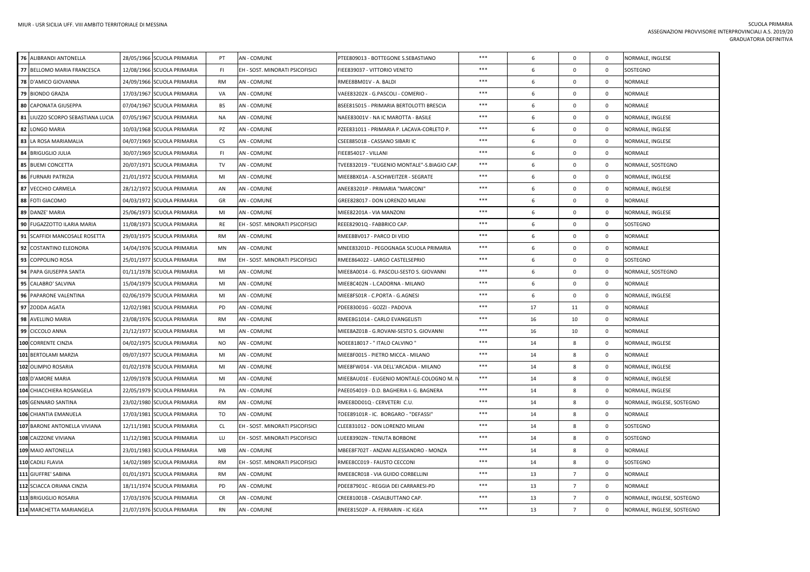| 76 ALIBRANDI ANTONELLA            | 28/05/1966 SCUOLA PRIMARIA | PT        | <b>AN - COMUNE</b>              | PTEE809013 - BOTTEGONE S.SEBASTIANO         | ***   | 6  | $\mathbf 0$    | $\mathbf 0$  | NORMALE, INGLESE           |
|-----------------------------------|----------------------------|-----------|---------------------------------|---------------------------------------------|-------|----|----------------|--------------|----------------------------|
| 77 BELLOMO MARIA FRANCESCA        | 12/08/1966 SCUOLA PRIMARIA | FI.       | EH - SOST. MINORATI PSICOFISICI | FIEE839037 - VITTORIO VENETO                | ***   | 6  | $\mathbf{0}$   | $\mathbf{0}$ | SOSTEGNO                   |
| <b>78 D'AMICO GIOVANNA</b>        | 24/09/1966 SCUOLA PRIMARIA | <b>RM</b> | <b>AN - COMUNE</b>              | RMEE8BM01V - A. BALDI                       | ***   | 6  | $\mathbf{0}$   | $\mathbf{0}$ | NORMALE                    |
| 79 BIONDO GRAZIA                  | 17/03/1967 SCUOLA PRIMARIA | VA        | <b>AN - COMUNE</b>              | VAEE83202X - G.PASCOLI - COMERIO -          | ***   | 6  | $\mathbf 0$    | $\mathbf{0}$ | NORMALE                    |
| 80 CAPONATA GIUSEPPA              | 07/04/1967 SCUOLA PRIMARIA | <b>BS</b> | <b>AN - COMUNE</b>              | BSEE815015 - PRIMARIA BERTOLOTTI BRESCIA    | $***$ | 6  | $\mathbf{0}$   | $\mathbf{0}$ | <b>NORMALE</b>             |
| 81 LIUZZO SCORPO SEBASTIANA LUCIA | 07/05/1967 SCUOLA PRIMARIA | <b>NA</b> | <b>AN - COMUNE</b>              | NAEE83001V - NA IC MAROTTA - BASILE         | $***$ | 6  | $\mathbf{0}$   | $\mathbf{0}$ | NORMALE, INGLESE           |
| 82 LONGO MARIA                    | 10/03/1968 SCUOLA PRIMARIA | PZ        | <b>AN - COMUNE</b>              | PZEE831011 - PRIMARIA P. LACAVA-CORLETO P.  | ***   | 6  | $\mathbf 0$    | $\mathbf 0$  | NORMALE, INGLESE           |
| 83 LA ROSA MARIAMALIA             | 04/07/1969 SCUOLA PRIMARIA | <b>CS</b> | <b>AN - COMUNE</b>              | CSEE885018 - CASSANO SIBARI IC              | ***   | 6  | $\mathbf{0}$   | $\mathbf{0}$ | NORMALE, INGLESE           |
| 84 BRIGUGLIO JULIA                | 30/07/1969 SCUOLA PRIMARIA | FI.       | <b>AN - COMUNE</b>              | FIEE854017 - VILLANI                        | $***$ | 6  | $\mathbf{0}$   | $\mathbf{0}$ | NORMALE                    |
| 85 BUEMI CONCETTA                 | 20/07/1971 SCUOLA PRIMARIA | TV        | <b>AN - COMUNE</b>              | TVEE832019 - "EUGENIO MONTALE"-S.BIAGIO CAP | ***   | 6  | $\mathbf 0$    | $\mathbf 0$  | NORMALE, SOSTEGNO          |
| 86 FURNARI PATRIZIA               | 21/01/1972 SCUOLA PRIMARIA | MI        | <b>AN - COMUNE</b>              | MIEE8BX01A - A.SCHWEITZER - SEGRATE         | ***   | 6  | $\mathbf 0$    | $\mathbf{0}$ | NORMALE, INGLESE           |
| 87<br><b>VECCHIO CARMELA</b>      | 28/12/1972 SCUOLA PRIMARIA | AN        | <b>AN - COMUNE</b>              | ANEE83201P - PRIMARIA "MARCONI"             | $***$ | 6  | $\mathbf{0}$   | $\mathbf 0$  | NORMALE, INGLESE           |
| 88 FOTI GIACOMO                   | 04/03/1972 SCUOLA PRIMARIA | GR        | <b>AN - COMUNE</b>              | GREE828017 - DON LORENZO MILANI             | $***$ | 6  | $\mathbf 0$    | $\mathbf 0$  | NORMALE                    |
| 89 DANZE' MARIA                   | 25/06/1973 SCUOLA PRIMARIA | MI        | <b>AN - COMUNE</b>              | MIEE82201A - VIA MANZONI                    | ***   | 6  | $\mathbf{0}$   | $\mathbf{0}$ | NORMALE, INGLESE           |
| 90 FUGAZZOTTO ILARIA MARIA        | 11/08/1973 SCUOLA PRIMARIA | <b>RE</b> | EH - SOST. MINORATI PSICOFISICI | REEE82901Q - FABBRICO CAP.                  | $***$ | 6  | $\mathbf 0$    | $\mathbf{0}$ | SOSTEGNO                   |
| 91 SCAFFIDI MANCOSALE ROSETTA     | 29/03/1975 SCUOLA PRIMARIA | RM        | <b>AN-COMUNE</b>                | RMEE8BV017 - PARCO DI VEIO                  | ***   | 6  | $\mathbf 0$    | $\mathbf 0$  | NORMALE                    |
| 92 COSTANTINO ELEONORA            | 14/04/1976 SCUOLA PRIMARIA | <b>MN</b> | <b>AN - COMUNE</b>              | MNEE83201D - PEGOGNAGA SCUOLA PRIMARIA      | ***   | 6  | $\mathbf 0$    | $\mathbf 0$  | NORMALE                    |
| 93 COPPOLINO ROSA                 | 25/01/1977 SCUOLA PRIMARIA | <b>RM</b> | EH - SOST. MINORATI PSICOFISICI | RMEE864022 - LARGO CASTELSEPRIO             | ***   | 6  | $\overline{0}$ | $\mathbf{0}$ | SOSTEGNO                   |
| 94 PAPA GIUSEPPA SANTA            | 01/11/1978 SCUOLA PRIMARIA | MI        | <b>AN - COMUNE</b>              | MIEE8A0014 - G. PASCOLI-SESTO S. GIOVANNI   | $***$ | 6  | $\mathbf{0}$   | $\mathbf{0}$ | NORMALE, SOSTEGNO          |
| 95 CALABRO' SALVINA               | 15/04/1979 SCUOLA PRIMARIA | MI        | <b>AN - COMUNE</b>              | MIEE8C402N - L.CADORNA - MILANO             | ***   | 6  | $\mathbf 0$    | $\mathbf 0$  | NORMALE                    |
| 96 PAPARONE VALENTINA             | 02/06/1979 SCUOLA PRIMARIA | MI        | <b>AN - COMUNE</b>              | MIEE8FS01R - C.PORTA - G.AGNESI             | $***$ | 6  | $\mathbf 0$    | $\mathbf{0}$ | NORMALE, INGLESE           |
| 97 ZODDA AGATA                    | 12/02/1981 SCUOLA PRIMARIA | PD        | <b>AN - COMUNE</b>              | PDEE83001G - GOZZI - PADOVA                 | ***   | 17 | 11             | $\mathbf{0}$ | NORMALE                    |
| 98 AVELLINO MARIA                 | 23/08/1976 SCUOLA PRIMARIA | <b>RM</b> | <b>AN - COMUNE</b>              | RMEE8G1014 - CARLO EVANGELISTI              | $***$ | 16 | 10             | $\mathbf{0}$ | NORMALE                    |
| 99 CICCOLO ANNA                   | 21/12/1977 SCUOLA PRIMARIA | MI        | <b>AN - COMUNE</b>              | MIEE8AZ01B - G.ROVANI-SESTO S. GIOVANNI     | $***$ | 16 | 10             | $\mathbf 0$  | NORMALE                    |
| 100 CORRENTE CINZIA               | 04/02/1975 SCUOLA PRIMARIA | <b>NO</b> | <b>AN - COMUNE</b>              | " NOEE818017 - " ITALO CALVINO              | $***$ | 14 | 8              | $^{\circ}$   | NORMALE, INGLESE           |
| 101 BERTOLAMI MARZIA              | 09/07/1977 SCUOLA PRIMARIA | MI        | <b>AN - COMUNE</b>              | MIEE8F0015 - PIETRO MICCA - MILANO          | ***   | 14 | 8              | $\mathbf 0$  | NORMALE                    |
| 102 OLIMPIO ROSARIA               | 01/02/1978 SCUOLA PRIMARIA | MI        | <b>AN - COMUNE</b>              | MIEE8FW014 - VIA DELL'ARCADIA - MILANO      | $***$ | 14 | 8              | $\mathbf{0}$ | NORMALE, INGLESE           |
| 103 D'AMORE MARIA                 | 12/09/1978 SCUOLA PRIMARIA | MI        | <b>AN - COMUNE</b>              | MIEE8AU01E - EUGENIO MONTALE-COLOGNO M. I   | ***   | 14 | 8              | $\mathbf{0}$ | NORMALE, INGLESE           |
| 104 CHIACCHIERA ROSANGELA         | 22/05/1979 SCUOLA PRIMARIA | PA        | <b>AN - COMUNE</b>              | PAEE054019 - D.D. BAGHERIA I- G. BAGNERA    | ***   | 14 | 8              | $\mathbf{0}$ | NORMALE, INGLESE           |
| 105 GENNARO SANTINA               | 23/02/1980 SCUOLA PRIMARIA | RM        | AN - COMUNE                     | RMEE8DD01Q - CERVETERI C.U.                 | ***   | 14 | 8              | $\Omega$     | NORMALE, INGLESE, SOSTEGNO |
| 106 CHIANTIA EMANUELA             | 17/03/1981 SCUOLA PRIMARIA | TO        | <b>AN - COMUNE</b>              | TOEE89101R - IC. BORGARO - "DEFASSI"        | $***$ | 14 | 8              | $\mathbf{0}$ | <b>NORMALE</b>             |
| 107 BARONE ANTONELLA VIVIANA      | 12/11/1981 SCUOLA PRIMARIA | <b>CL</b> | EH - SOST. MINORATI PSICOFISICI | CLEE831012 - DON LORENZO MILANI             | ***   | 14 | 8              | $\mathbf 0$  | SOSTEGNO                   |
| 108 CAIZZONE VIVIANA              | 11/12/1981 SCUOLA PRIMARIA | LU        | EH - SOST. MINORATI PSICOFISICI | LUEE83902N - TENUTA BORBONE                 | $***$ | 14 | 8              | $\mathbf 0$  | SOSTEGNO                   |
| 109 MAIO ANTONELLA                | 23/01/1983 SCUOLA PRIMARIA | MB        | <b>AN - COMUNE</b>              | MBEE8F702T - ANZANI ALESSANDRO - MONZA      | ***   | 14 | 8              | $\mathbf{0}$ | <b>NORMALE</b>             |
| 110 CADILI FLAVIA                 | 14/02/1989 SCUOLA PRIMARIA | <b>RM</b> | EH - SOST. MINORATI PSICOFISICI | RMEE8CC019 - FAUSTO CECCONI                 | ***   | 14 | 8              | $\mathbf{0}$ | SOSTEGNO                   |
| 111 GIUFFRE' SABINA               | 01/01/1971 SCUOLA PRIMARIA | RM        | <b>AN - COMUNE</b>              | RMEE8CR018 - VIA GUIDO CORBELLINI           | ***   | 13 | $\overline{7}$ | $\mathbf 0$  | NORMALE                    |
| 112 SCIACCA ORIANA CINZIA         | 18/11/1974 SCUOLA PRIMARIA | PD        | <b>AN - COMUNE</b>              | PDEE87901C - REGGIA DEI CARRARESI-PD        | $***$ | 13 | $\overline{7}$ | $^{\circ}$   | NORMALE                    |
| 113 BRIGUGLIO ROSARIA             | 17/03/1976 SCUOLA PRIMARIA | <b>CR</b> | <b>AN - COMUNE</b>              | CREE81001B - CASALBUTTANO CAP.              | ***   | 13 | $\overline{7}$ | $\mathbf 0$  | NORMALE, INGLESE, SOSTEGNO |
| 114 MARCHETTA MARIANGELA          | 21/07/1976 SCUOLA PRIMARIA | <b>RN</b> | <b>AN - COMUNE</b>              | RNEE81502P - A. FERRARIN - IC IGEA          | ***   | 13 | $\overline{7}$ | $\mathbf 0$  | NORMALE, INGLESE, SOSTEGNO |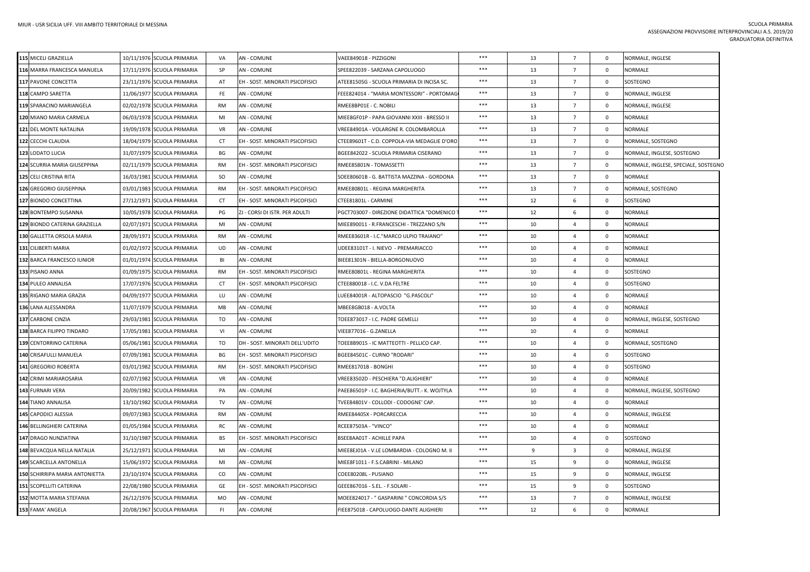| 115 MICELI GRAZIELLA           | 10/11/1976 SCUOLA PRIMARIA           | VA            | <b>AN - COMUNE</b>              | VAEE849018 - PIZZIGONI                       | ***   | 13 | $\overline{7}$  | $\mathbf 0$    | NORMALE, INGLESE                     |
|--------------------------------|--------------------------------------|---------------|---------------------------------|----------------------------------------------|-------|----|-----------------|----------------|--------------------------------------|
| 116 MARRA FRANCESCA MANUELA    | 17/11/1976 SCUOLA PRIMARIA           | SP            | <b>AN - COMUNE</b>              | SPEE822039 - SARZANA CAPOLUOGO               | $***$ | 13 | $\overline{7}$  | $\mathbf 0$    | NORMALE                              |
| 117 PAVONE CONCETTA            | 23/11/1976 SCUOLA PRIMARIA           | AT            | EH - SOST. MINORATI PSICOFISICI | ATEE81505G - SCUOLA PRIMARIA DI INCISA SC.   | $***$ | 13 | $\overline{7}$  | $\mathbf 0$    | SOSTEGNO                             |
| 118 CAMPO SARETTA              | 11/06/1977 SCUOLA PRIMARIA           | <b>FE</b>     | <b>AN - COMUNE</b>              | FEEE824014 - "MARIA MONTESSORI" - PORTOMAG   | ***   | 13 | $\overline{7}$  | $\mathbf{0}$   | NORMALE, INGLESE                     |
| 119 SPARACINO MARIANGELA       | 02/02/1978 SCUOLA PRIMARIA           | <b>RM</b>     | <b>AN - COMUNE</b>              | RMEE8BP01E - C. NOBILI                       | ***   | 13 | $\overline{7}$  | $\mathbf{0}$   | NORMALE, INGLESE                     |
| 120 MIANO MARIA CARMELA        | 06/03/1978 SCUOLA PRIMARIA           | MI            | <b>AN - COMUNE</b>              | MIEE8GF01P - PAPA GIOVANNI XXIII - BRESSO II | $***$ | 13 | $\overline{7}$  | $\mathbf 0$    | NORMALE                              |
| 121 DEL MONTE NATALINA         | 19/09/1978 SCUOLA PRIMARIA           | <b>VR</b>     | <b>AN - COMUNE</b>              | VREE84901A - VOLARGNE R. COLOMBAROLLA        | ***   | 13 | $\overline{7}$  | $\mathbf 0$    | <b>NORMALE</b>                       |
| 122 CECCHI CLAUDIA             | 18/04/1979 SCUOLA PRIMARIA           | CT            | EH - SOST. MINORATI PSICOFISICI | CTEE89601T - C.D. COPPOLA-VIA MEDAGLIE D'ORO | ***   | 13 | $\overline{7}$  | $^{\circ}$     | NORMALE, SOSTEGNO                    |
| 123 LODATO LUCIA               | 31/07/1979 SCUOLA PRIMARIA           | BG            | <b>AN - COMUNE</b>              | BGEE842022 - SCUOLA PRIMARIA CISERANO        | ***   | 13 | $\overline{7}$  | $\mathbf{0}$   | NORMALE, INGLESE, SOSTEGNO           |
| 124 SCURRIA MARIA GIUSEPPINA   | 02/11/1979 SCUOLA PRIMARIA           | <b>RM</b>     | EH - SOST. MINORATI PSICOFISICI | RMEE85801N - TOMASSETTI                      | $***$ | 13 | $\overline{7}$  | $\mathbf 0$    | NORMALE, INGLESE, SPECIALE, SOSTEGNO |
| 125 CELI CRISTINA RITA         | 16/03/1981 SCUOLA PRIMARIA           | <sub>SO</sub> | <b>AN - COMUNE</b>              | SOEE80601B - G. BATTISTA MAZZINA - GORDONA   | $***$ | 13 | $7\overline{ }$ | $\mathbf 0$    | NORMALE                              |
| 126 GREGORIO GIUSEPPINA        | 03/01/1983 SCUOLA PRIMARIA           | <b>RM</b>     | EH - SOST. MINORATI PSICOFISICI | RMEE80801L - REGINA MARGHERITA               | ***   | 13 | $7\overline{ }$ | $\mathbf{0}$   | NORMALE, SOSTEGNO                    |
| 127 BIONDO CONCETTINA          | 27/12/1971 SCUOLA PRIMARIA           | CT.           | EH - SOST. MINORATI PSICOFISICI | CTEE81801L - CARMINE                         | $***$ | 12 | 6               | $\mathbf 0$    | SOSTEGNO                             |
| 128 BONTEMPO SUSANNA           | 10/05/1978 SCUOLA PRIMARIA           | PG            | ZJ - CORSI DI ISTR. PER ADULTI  | PGCT703007 - DIREZIONE DIDATTICA "DOMENICO   | $***$ | 12 | 6               | $\mathbf 0$    | NORMALE                              |
| 129 BIONDO CATERINA GRAZIELLA  | 02/07/1971 SCUOLA PRIMARIA           | MI            | <b>AN - COMUNE</b>              | MIEE890011 - R.FRANCESCHI - TREZZANO S/N     | ***   | 10 | 4               | $\mathbf{0}$   | <b>NORMALE</b>                       |
| 130 GALLETTA ORSOLA MARIA      | 28/09/1971 SCUOLA PRIMARIA           | <b>RM</b>     | <b>AN - COMUNE</b>              | RMEE83601R - I.C."MARCO ULPIO TRAIANO"       | $***$ | 10 | 4               | $\mathbf{0}$   | NORMALE                              |
| 131 CILIBERTI MARIA            | 01/02/1972 SCUOLA PRIMARIA           | UD            | <b>AN - COMUNE</b>              | UDEE83101T - I. NIEVO - PREMARIACCO          | $***$ | 10 | 4               | $\mathbf 0$    | NORMALE                              |
| 132 BARCA FRANCESCO IUNIOR     | 01/01/1974 SCUOLA PRIMARIA           | BI            | <b>AN - COMUNE</b>              | BIEE81301N - BIELLA-BORGONUOVO               | ***   | 10 | $\overline{4}$  | $\mathbf 0$    | <b>NORMALE</b>                       |
| 133 PISANO ANNA                | 01/09/1975 SCUOLA PRIMARIA           | <b>RM</b>     | EH - SOST. MINORATI PSICOFISICI | RMEE80801L - REGINA MARGHERITA               | ***   | 10 | 4               | $\mathbf 0$    | SOSTEGNO                             |
| 134 PULEO ANNALISA             | 17/07/1976 SCUOLA PRIMARIA           | CT            | EH - SOST. MINORATI PSICOFISICI | CTEE880018 - I.C. V.DA FELTRE                | ***   | 10 | $\overline{a}$  | $\overline{0}$ | SOSTEGNO                             |
| 135 RIGANO MARIA GRAZIA        | 04/09/1977 SCUOLA PRIMARIA           | LU            | <b>AN - COMUNE</b>              | LUEE84001R - ALTOPASCIO "G.PASCOLI"          | ***   | 10 | $\overline{4}$  | $\mathbf{0}$   | <b>NORMALE</b>                       |
| 136 LANA ALESSANDRA            | 11/07/1979 SCUOLA PRIMARIA           | МB            | <b>AN - COMUNE</b>              | MBEE8GB018 - A.VOLTA                         | ***   | 10 | 4               | $\mathbf 0$    | NORMALE                              |
| 137 CARBONE CINZIA             | 29/03/1981 SCUOLA PRIMARIA           | TO            | <b>AN - COMUNE</b>              | TOEE873017 - I.C. PADRE GEMELLI              | $***$ | 10 | $\overline{4}$  | $\mathbf{0}$   | NORMALE, INGLESE, SOSTEGNO           |
| 138 BARCA FILIPPO TINDARO      | 17/05/1981 SCUOLA PRIMARIA           | VI            | <b>AN - COMUNE</b>              | VIEE877016 - G.ZANELLA                       | ***   | 10 | 4               | $\mathbf{0}$   | <b>NORMALE</b>                       |
| 139 CENTORRINO CATERINA        | 05/06/1981<br><b>SCUOLA PRIMARIA</b> | TO            | DH - SOST. MINORATI DELL'UDITO  | TOEE8B9015 - IC MATTEOTTI - PELLICO CAP.     | ***   | 10 | 4               | $\mathbf 0$    | NORMALE, SOSTEGNO                    |
| 140 CRISAFULLI MANUELA         | 07/09/1981 SCUOLA PRIMARIA           | <b>BG</b>     | EH - SOST. MINORATI PSICOFISICI | BGEE84501C - CURNO "RODARI"                  | ***   | 10 | $\overline{a}$  | $\mathbf{0}$   | SOSTEGNO                             |
| 141 GREGORIO ROBERTA           | 03/01/1982 SCUOLA PRIMARIA           | RM            | EH - SOST. MINORATI PSICOFISICI | RMEE81701B - BONGHI                          | ***   | 10 | $\Delta$        | $\mathbf 0$    | SOSTEGNO                             |
| 142 CRIMI MARIAROSARIA         | 02/07/1982 SCUOLA PRIMARIA           | VR            | <b>AN - COMUNE</b>              | VREE83502D - PESCHIERA "D.ALIGHIERI"         | ***   | 10 | $\overline{4}$  | $\mathbf 0$    | NORMALE                              |
| 143 FURNARI VERA               | 20/09/1982 SCUOLA PRIMARIA           | PA            | <b>AN - COMUNE</b>              | PAEE86501P - I.C. BAGHERIA/BUTT.- K. WOJTYLA | ***   | 10 | $\overline{4}$  | $\mathbf{0}$   | NORMALE, INGLESE, SOSTEGNO           |
| 144 TIANO ANNALISA             | 13/10/1982 SCUOLA PRIMARIA           | TV            | <b>AN - COMUNE</b>              | TVEE84801V - COLLODI - CODOGNE' CAP.         | ***   | 10 | 4               | $\mathbf 0$    | NORMALE                              |
| 145 CAPODICI ALESSIA           | 09/07/1983 SCUOLA PRIMARIA           | RM            | <b>AN - COMUNE</b>              | RMEE84405X - PORCARECCIA                     | ***   | 10 | $\overline{4}$  | $\mathbf 0$    | NORMALE, INGLESE                     |
| 146 BELLINGHIERI CATERINA      | 01/05/1984 SCUOLA PRIMARIA           | <b>RC</b>     | <b>AN - COMUNE</b>              | RCEE87503A - "VINCO"                         | ***   | 10 | $\overline{4}$  | $\overline{0}$ | <b>NORMALE</b>                       |
| 147 DRAGO NUNZIATINA           | 31/10/1987 SCUOLA PRIMARIA           | BS            | EH - SOST. MINORATI PSICOFISICI | BSEE8AA01T - ACHILLE PAPA                    | ***   | 10 | $\overline{4}$  | $\mathbf 0$    | SOSTEGNO                             |
| 148 BEVACQUA NELLA NATALIA     | 25/12/1971 SCUOLA PRIMARIA           | MI            | <b>AN - COMUNE</b>              | MIEE8EJ01A - V.LE LOMBARDIA - COLOGNO M. II  | $***$ | 9  | $\overline{3}$  | $\mathbf 0$    | NORMALE, INGLESE                     |
| 149 SCARCELLA ANTONELLA        | 15/06/1972 SCUOLA PRIMARIA           | MI            | <b>AN - COMUNE</b>              | MIEE8F1011 - F.S.CABRINI - MILANO            | ***   | 15 | 9               | $\mathbf 0$    | NORMALE, INGLESE                     |
| 150 SCHIRRIPA MARIA ANTONIETTA | 23/10/1974 SCUOLA PRIMARIA           | CO            | <b>AN - COMUNE</b>              | COEE80208L - PUSIANO                         | ***   | 15 | 9               | $\mathbf 0$    | NORMALE, INGLESE                     |
| 151 SCOPELLITI CATERINA        | 22/08/1980 SCUOLA PRIMARIA           | GE            | EH - SOST. MINORATI PSICOFISICI | GEEE867016 - S.EL. - F.SOLARI -              | ***   | 15 | 9               | $\mathbf 0$    | SOSTEGNO                             |
| 152 MOTTA MARIA STEFANIA       | 26/12/1976 SCUOLA PRIMARIA           | MO            | <b>AN - COMUNE</b>              | MOEE824017 - " GASPARINI " CONCORDIA S/S     | ***   | 13 | $\overline{7}$  | $\mathbf 0$    | NORMALE, INGLESE                     |
| 153 FAMA' ANGELA               | 20/08/1967 SCUOLA PRIMARIA           | FL.           | <b>AN - COMUNE</b>              | FIEE875018 - CAPOLUOGO-DANTE ALIGHIERI       | ***   | 12 | 6               | $\mathbf 0$    | NORMALE                              |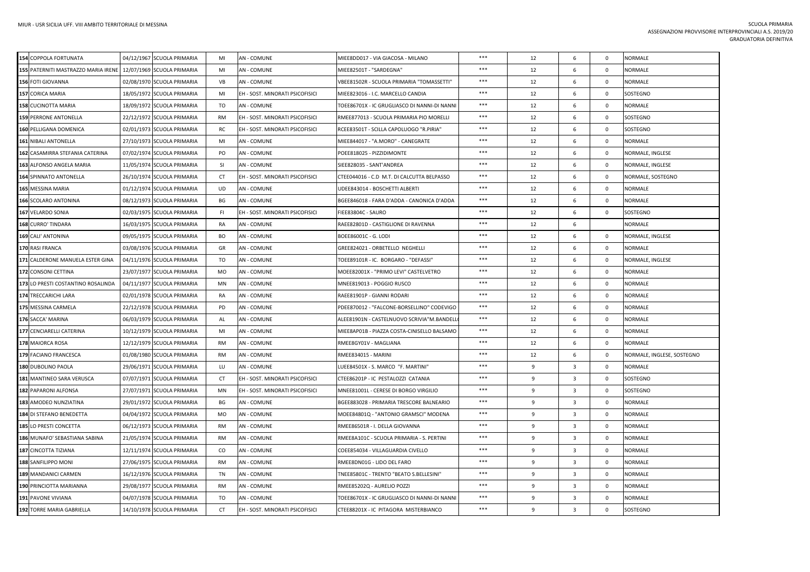| 154 COPPOLA FORTUNATA               | 04/12/1967 SCUOLA PRIMARIA | MI        | <b>AN - COMUNE</b>              | MIEE8DD017 - VIA GIACOSA - MILANO            | $***$ | 12           | 6                       | $\mathbf 0$  | <b>NORMALE</b>             |
|-------------------------------------|----------------------------|-----------|---------------------------------|----------------------------------------------|-------|--------------|-------------------------|--------------|----------------------------|
| 155 PATERNITI MASTRAZZO MARIA IRENE | 12/07/1969 SCUOLA PRIMARIA | MI        | AN - COMUNE                     | MIEE82501T - "SARDEGNA"                      | $***$ | 12           | 6                       | $\mathbf 0$  | NORMALE                    |
| 156 FOTI GIOVANNA                   | 02/08/1970 SCUOLA PRIMARIA | VB        | <b>AN - COMUNE</b>              | VBEE81502R - SCUOLA PRIMARIA "TOMASSETTI"    | ***   | 12           | 6                       | $\mathbf 0$  | NORMALE                    |
| 157 CORICA MARIA                    | 18/05/1972 SCUOLA PRIMARIA | MI        | EH - SOST. MINORATI PSICOFISICI | MIEE823016 - I.C. MARCELLO CANDIA            | ***   | 12           | 6                       | $\mathbf{0}$ | SOSTEGNO                   |
| <b>158 CUCINOTTA MARIA</b>          | 18/09/1972 SCUOLA PRIMARIA | TO        | <b>AN - COMUNE</b>              | TOEE86701X - IC GRUGLIASCO DI NANNI-DI NANNI | $***$ | 12           | 6                       | $^{\circ}$   | NORMALE                    |
| <b>159 PERRONE ANTONELLA</b>        | 22/12/1972 SCUOLA PRIMARIA | RM        | EH - SOST. MINORATI PSICOFISICI | RMEE877013 - SCUOLA PRIMARIA PIO MORELLI     | $***$ | 12           | 6                       | $\mathbf 0$  | SOSTEGNO                   |
| 160 PELLIGANA DOMENICA              | 02/01/1973 SCUOLA PRIMARIA | <b>RC</b> | EH - SOST. MINORATI PSICOFISICI | RCEE83501T - SCILLA CAPOLUOGO "R.PIRIA"      | ***   | 12           | 6                       | $\mathbf{0}$ | SOSTEGNO                   |
| 161 NIBALI ANTONELLA                | 27/10/1973 SCUOLA PRIMARIA | MI        | <b>AN - COMUNE</b>              | MIEE844017 - "A.MORO" - CANEGRATE            | $***$ | 12           | 6                       | $\mathbf{0}$ | NORMALE                    |
| 162 CASAMIRRA STEFANIA CATERINA     | 07/02/1974 SCUOLA PRIMARIA | PO        | <b>AN - COMUNE</b>              | POEE818025 - PIZZIDIMONTE                    | ***   | 12           | 6                       | $\mathbf{0}$ | NORMALE, INGLESE           |
| 163 ALFONSO ANGELA MARIA            | 11/05/1974 SCUOLA PRIMARIA | <b>SI</b> | <b>AN - COMUNE</b>              | SIEE828035 - SANT'ANDREA                     | $***$ | 12           | 6                       | $\mathbf{0}$ | NORMALE, INGLESE           |
| 164 SPINNATO ANTONELLA              | 26/10/1974 SCUOLA PRIMARIA | CT        | EH - SOST. MINORATI PSICOFISICI | CTEE044016 - C.D M.T. DI CALCUTTA BELPASSO   | ***   | 12           | 6                       | $\mathbf 0$  | NORMALE, SOSTEGNO          |
| 165 MESSINA MARIA                   | 01/12/1974 SCUOLA PRIMARIA | <b>UD</b> | <b>AN - COMUNE</b>              | UDEE843014 - BOSCHETTI ALBERTI               | $***$ | 12           | 6                       | $\mathbf 0$  | NORMALE                    |
| 166 SCOLARO ANTONINA                | 08/12/1973 SCUOLA PRIMARIA | BG        | <b>AN - COMUNE</b>              | BGEE846018 - FARA D'ADDA - CANONICA D'ADDA   | ***   | 12           | 6                       | $\mathbf 0$  | NORMALE                    |
| 167 VELARDO SONIA                   | 02/03/1975 SCUOLA PRIMARIA | FI.       | EH - SOST. MINORATI PSICOFISICI | FIEE83804C - SAURO                           | $***$ | 12           | 6                       | $\mathbf 0$  | SOSTEGNO                   |
| 168 CURRO' TINDARA                  | 16/03/1975 SCUOLA PRIMARIA | <b>RA</b> | <b>AN - COMUNE</b>              | RAEE82801D - CASTIGLIONE DI RAVENNA          | $***$ | 12           | 6                       |              | NORMALE                    |
| 169 CALI' ANTONINA                  | 09/05/1975 SCUOLA PRIMARIA | BO.       | <b>AN - COMUNE</b>              | BOEE86001C - G. LODI                         | $***$ | 12           | 6                       | $^{\circ}$   | NORMALE, INGLESE           |
| 170 RASI FRANCA                     | 03/08/1976 SCUOLA PRIMARIA | GR        | <b>AN - COMUNE</b>              | GREE824021 - ORBETELLO NEGHELLI              | $***$ | 12           | 6                       | $\mathbf 0$  | NORMALE                    |
| 171 CALDERONE MANUELA ESTER GINA    | 04/11/1976 SCUOLA PRIMARIA | TO        | <b>AN - COMUNE</b>              | TOEE89101R - IC. BORGARO - "DEFASSI"         | ***   | 12           | 6                       | $\mathbf{0}$ | NORMALE, INGLESE           |
| 172 CONSONI CETTINA                 | 23/07/1977 SCUOLA PRIMARIA | MO        | <b>AN - COMUNE</b>              | MOEE82001X - "PRIMO LEVI" CASTELVETRO        | $***$ | 12           | 6                       | $\mathbf 0$  | NORMALE                    |
| 173 LO PRESTI COSTANTINO ROSALINDA  | 04/11/1977 SCUOLA PRIMARIA | MN        | <b>AN - COMUNE</b>              | MNEE819013 - POGGIO RUSCO                    | $***$ | 12           | 6                       | $\mathbf 0$  | <b>NORMALE</b>             |
| 174 TRECCARICHI LARA                | 02/01/1978 SCUOLA PRIMARIA | <b>RA</b> | <b>AN - COMUNE</b>              | RAEE81901P - GIANNI RODARI                   | ***   | 12           | 6                       | $\mathbf{0}$ | <b>NORMALE</b>             |
| 175 MESSINA CARMELA                 | 22/12/1978 SCUOLA PRIMARIA | PD        | <b>AN - COMUNE</b>              | PDEE870012 - "FALCONE-BORSELLINO" CODEVIGO   | ***   | 12           | 6                       | $\mathbf 0$  | NORMALE                    |
| 176 SACCA' MARINA                   | 06/03/1979 SCUOLA PRIMARIA | AL        | <b>AN - COMUNE</b>              | ALEE81901N - CASTELNUOVO SCRIVIA"M.BANDELL   | $***$ | 12           | 6                       | $\mathbf 0$  | <b>NORMALE</b>             |
| 177 CENCIARELLI CATERINA            | 10/12/1979 SCUOLA PRIMARIA | MI        | <b>AN - COMUNE</b>              | MIEE8AP01B - PIAZZA COSTA-CINISELLO BALSAMO  | $***$ | 12           | 6                       | $\mathbf{0}$ | <b>NORMALE</b>             |
| 178 MAIORCA ROSA                    | 12/12/1979 SCUOLA PRIMARIA | RM        | <b>AN - COMUNE</b>              | RMEE8GY01V - MAGLIANA                        | ***   | 12           | 6                       | $\mathbf 0$  | NORMALE                    |
| 179 FACIANO FRANCESCA               | 01/08/1980 SCUOLA PRIMARIA | <b>RM</b> | <b>AN - COMUNE</b>              | RMEE834015 - MARINI                          | $***$ | 12           | 6                       | $\mathbf{0}$ | NORMALE, INGLESE, SOSTEGNO |
| 180 DUBOLINO PAOLA                  | 29/06/1971 SCUOLA PRIMARIA | LU        | <b>AN - COMUNE</b>              | LUEE84501X - S. MARCO "F. MARTINI"           | ***   | $\mathbf{q}$ | $\overline{\mathbf{3}}$ | $\mathbf 0$  | <b>NORMALE</b>             |
| 181 MANTINEO SARA VERUSCA           | 07/07/1971 SCUOLA PRIMARIA | CT        | EH - SOST. MINORATI PSICOFISICI | CTEE86201P - IC PESTALOZZI CATANIA           | ***   | 9            | $\overline{\mathbf{3}}$ | $\mathbf 0$  | SOSTEGNO                   |
| 182 PAPARONI ALFONSA                | 27/07/1971 SCUOLA PRIMARIA | MN        | EH - SOST. MINORATI PSICOFISICI | MNEE81001L - CERESE DI BORGO VIRGILIO        | ***   | 9            | $\overline{\mathbf{3}}$ | $\mathbf{0}$ | SOSTEGNO                   |
| 183 AMODEO NUNZIATINA               | 29/01/1972 SCUOLA PRIMARIA | BG        | <b>AN - COMUNE</b>              | BGEE883028 - PRIMARIA TRESCORE BALNEARIO     | ***   | 9            | $\overline{\mathbf{3}}$ | $\mathbf 0$  | NORMALE                    |
| 184 DI STEFANO BENEDETTA            | 04/04/1972 SCUOLA PRIMARIA | <b>MO</b> | <b>AN - COMUNE</b>              | MOEE84801Q - "ANTONIO GRAMSCI" MODENA        | ***   | 9            | $\overline{\mathbf{3}}$ | $\mathbf 0$  | <b>NORMALE</b>             |
| 185 LO PRESTI CONCETTA              | 06/12/1973 SCUOLA PRIMARIA | <b>RM</b> | <b>AN - COMUNE</b>              | RMEE86501R - I. DELLA GIOVANNA               | $***$ | $\mathbf{q}$ | $\overline{\mathbf{3}}$ | $\mathbf{0}$ | <b>NORMALE</b>             |
| 186 MUNAFO' SEBASTIANA SABINA       | 21/05/1974 SCUOLA PRIMARIA | RM        | <b>AN - COMUNE</b>              | RMEE8A101C - SCUOLA PRIMARIA - S. PERTINI    | ***   | 9            | $\overline{\mathbf{3}}$ | $\mathbf 0$  | <b>NORMALE</b>             |
| 187 CINCOTTA TIZIANA                | 12/11/1974 SCUOLA PRIMARIA | CO        | <b>AN - COMUNE</b>              | COEE854034 - VILLAGUARDIA CIVELLO            | $***$ | 9            | $\overline{\mathbf{3}}$ | $\mathbf 0$  | <b>NORMALE</b>             |
| 188 SANFILIPPO MONI                 | 27/06/1975 SCUOLA PRIMARIA | <b>RM</b> | <b>AN - COMUNE</b>              | RMEE8DN01G - LIDO DEL FARO                   | $***$ | 9            | $\overline{\mathbf{3}}$ | $\mathbf{0}$ | NORMALE                    |
| 189 MANDANICI CARMEN                | 16/12/1976 SCUOLA PRIMARIA | TN        | <b>AN - COMUNE</b>              | TNEE85801C - TRENTO "BEATO S.BELLESINI"      | $***$ | 9            | $\overline{\mathbf{3}}$ | $\mathbf 0$  | NORMALE                    |
| 190 PRINCIOTTA MARIANNA             | 29/08/1977 SCUOLA PRIMARIA | <b>RM</b> | <b>AN - COMUNE</b>              | RMEE85202Q - AURELIO POZZI                   | ***   | 9            | $\overline{\mathbf{3}}$ | $\mathbf{0}$ | <b>NORMALE</b>             |
| 191 PAVONE VIVIANA                  | 04/07/1978 SCUOLA PRIMARIA | TO        | <b>AN - COMUNE</b>              | TOEE86701X - IC GRUGLIASCO DI NANNI-DI NANNI | ***   | 9            | $\overline{\mathbf{3}}$ | $\mathbf{0}$ | NORMALE                    |
| 192 TORRE MARIA GABRIELLA           | 14/10/1978 SCUOLA PRIMARIA | CT        | EH - SOST. MINORATI PSICOFISICI | CTEE88201X - IC PITAGORA MISTERBIANCO        | ***   | 9            | $\overline{\mathbf{3}}$ | $\mathbf{0}$ | SOSTEGNO                   |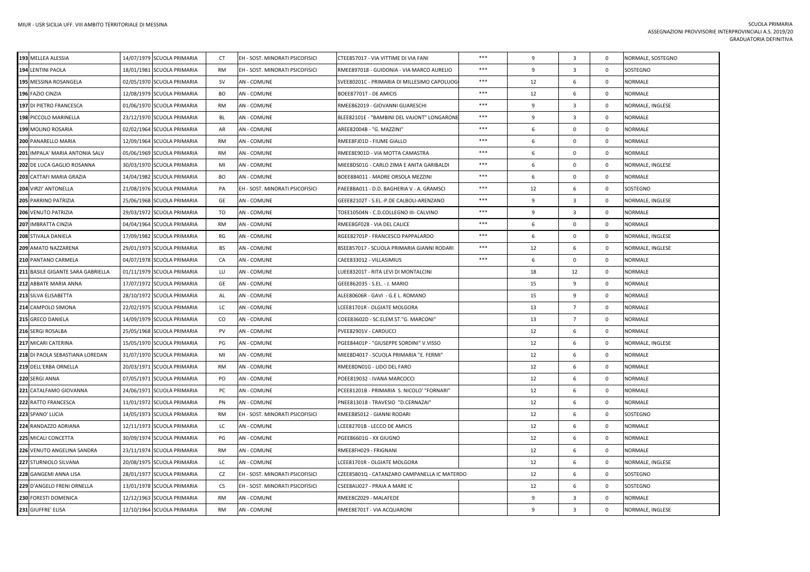| 193 MELLEA ALESSIA                | 14/07/1979 SCUOLA PRIMARIA | CT        | EH - SOST. MINORATI PSICOFISICI | CTEE857017 - VIA VITTIME DI VIA FANI         | ***   | 9            | $\overline{\mathbf{3}}$ | 0           | NORMALE, SOSTEGNO |
|-----------------------------------|----------------------------|-----------|---------------------------------|----------------------------------------------|-------|--------------|-------------------------|-------------|-------------------|
| 194 LENTINI PAOLA                 | 18/01/1981 SCUOLA PRIMARIA | <b>RM</b> | EH - SOST. MINORATI PSICOFISICI | RMEE897018 - GUIDONIA - VIA MARCO AURELIO    | ***   | 9            | $\overline{3}$          | $\mathsf 0$ | SOSTEGNO          |
| 195 MESSINA ROSANGELA             | 02/05/1970 SCUOLA PRIMARIA | sv        | AN - COMUNE                     | SVEE80201C - PRIMARIA DI MILLESIMO CAPOLUOG  | ***   | 12           | 6                       | 0           | NORMALE           |
| 196 FAZIO CINZIA                  | 12/08/1979 SCUOLA PRIMARIA | BO        | AN - COMUNE                     | BOEE87701T - DE AMICIS                       | ***   | 12           | 6                       | $\mathbf 0$ | <b>NORMALE</b>    |
| 197 DI PIETRO FRANCESCA           | 01/06/1970 SCUOLA PRIMARIA | RM        | AN - COMUNE                     | RMEE862019 - GIOVANNI GUARESCHI              | $***$ | 9            | $\overline{\mathbf{3}}$ | $\mathbf 0$ | NORMALE, INGLESE  |
| 198 PICCOLO MARINELLA             | 23/12/1970 SCUOLA PRIMARIA | BL        | AN - COMUNE                     | BLEE82101E - "BAMBINI DEL VAJONT" LONGARONI  | $***$ | 9            | $\overline{3}$          | $\mathbf 0$ | <b>NORMALE</b>    |
| 199 MOLINO ROSARIA                | 02/02/1964 SCUOLA PRIMARIA | AR        | AN - COMUNE                     | AREE82004B - "G. MAZZINI"                    | $***$ | 6            | $\mathbf 0$             | $\mathbf 0$ | <b>NORMALE</b>    |
| 200 PANARELLO MARIA               | 12/09/1964 SCUOLA PRIMARIA | <b>RM</b> | AN - COMUNE                     | RMEE8FJ01D - FIUME GIALLO                    | ***   | 6            | $\mathbf 0$             | $\mathbf 0$ | <b>NORMALE</b>    |
| 201 IMPALA' MARIA ANTONIA SALV    | 05/06/1969 SCUOLA PRIMARIA | RM        | <b>AN - COMUNE</b>              | RMEE8E901D - VIA MOTTA CAMASTRA              | ***   | 6            | $\mathbf 0$             | $\mathbf 0$ | <b>NORMALE</b>    |
| 202 DE LUCA GAGLIO ROSANNA        | 30/03/1970 SCUOLA PRIMARIA | MI        | <b>AN - COMUNE</b>              | MIEE8DS01G - CARLO ZIMA E ANITA GARIBALDI    | ***   | 6            | $\mathbf{0}$            | $\mathbf 0$ | NORMALE, INGLESE  |
| 203 CATTAFI MARIA GRAZIA          | 14/04/1982 SCUOLA PRIMARIA | <b>BO</b> | <b>AN - COMUNE</b>              | BOEE884011 - MADRE ORSOLA MEZZINI            | $***$ | 6            | $\mathbf{0}$            | $\mathbf 0$ | <b>NORMALE</b>    |
| 204 VIRZI' ANTONELLA              | 21/08/1976 SCUOLA PRIMARIA | PA        | EH - SOST. MINORATI PSICOFISICI | PAEE8BA011 - D.D. BAGHERIA V - A. GRAMSCI    | $***$ | 12           | 6                       | $\mathbf 0$ | SOSTEGNO          |
| 205 PARRINO PATRIZIA              | 25/06/1968 SCUOLA PRIMARIA | GE        | <b>AN - COMUNE</b>              | GEEE82102T - S.EL.-P.DE CALBOLI-ARENZANO     | ***   | $\mathbf{q}$ | $\overline{3}$          | $\mathbf 0$ | NORMALE, INGLESE  |
| 206 VENUTO PATRIZIA               | 29/03/1972 SCUOLA PRIMARIA | TO        | AN - COMUNE                     | TOEE10504N - C.D.COLLEGNO III- CALVINO       | ***   | 9            | $\overline{3}$          | $\mathbf 0$ | NORMALE           |
| 207 IMBRATTA CINZIA               | 04/04/1964 SCUOLA PRIMARIA | <b>RM</b> | AN - COMUNE                     | RMEE8GF028 - VIA DEL CALICE                  | ***   | 6            | $\mathbf 0$             | $\mathbf 0$ | <b>NORMALE</b>    |
| 208 STIVALA DANIELA               | 17/09/1982 SCUOLA PRIMARIA | RG        | AN - COMUNE                     | RGEE82701P - FRANCESCO PAPPALARDO            | ***   | 6            | $\mathbf 0$             | $\mathbf 0$ | NORMALE, INGLESE  |
| 209 AMATO NAZZARENA               | 29/01/1973 SCUOLA PRIMARIA | <b>BS</b> | <b>AN - COMUNE</b>              | BSEE857017 - SCUOLA PRIMARIA GIANNI RODARI   | $***$ | 12           | 6                       | $\mathsf 0$ | NORMALE, INGLESE  |
| 210 PANTANO CARMELA               | 04/07/1978 SCUOLA PRIMARIA | CA        | AN - COMUNE                     | CAEE833012 - VILLASIMIUS                     | ***   | 6            | $\mathbf 0$             | $\mathbf 0$ | <b>NORMALE</b>    |
| 211 BASILE GIGANTE SARA GABRIELLA | 01/11/1979 SCUOLA PRIMARIA | LU        | AN - COMUNE                     | LUEE83201T - RITA LEVI DI MONTALCINI         |       | 18           | 12                      | $\mathbf 0$ | <b>NORMALE</b>    |
| 212 ABBATE MARIA ANNA             | 17/07/1972 SCUOLA PRIMARIA | GE        | AN - COMUNE                     | GEEE862035 - S.EL. - J. MARIO                |       | 15           | 9                       | $\mathbf 0$ | NORMALE           |
| 213 SILVA ELISABETTA              | 28/10/1972 SCUOLA PRIMARIA | AL        | AN - COMUNE                     | ALEE80606R - GAVI - G.E L. ROMANO            |       | 15           | $\overline{9}$          | $\mathbf 0$ | <b>NORMALE</b>    |
| 214 CAMPOLO SIMONA                | 22/02/1975 SCUOLA PRIMARIA | LC        | AN - COMUNE                     | LCEE81701R - OLGIATE MOLGORA                 |       | 13           | $\overline{7}$          | $\mathbf 0$ | NORMALE           |
| 215 GRECO DANIELA                 | 14/09/1979 SCUOLA PRIMARIA | CO        | <b>AN - COMUNE</b>              | COEE83602D - SC.ELEM.ST."G. MARCONI"         |       | 13           | $\overline{7}$          | $\mathsf 0$ | <b>NORMALE</b>    |
| 216 SERGI ROSALBA                 | 25/05/1968 SCUOLA PRIMARIA | PV        | AN - COMUNE                     | PVEE82901V - CARDUCCI                        |       | 12           | 6                       | $\mathbf 0$ | NORMALE           |
| 217 MICARI CATERINA               | 15/05/1970 SCUOLA PRIMARIA | PG        | <b>AN - COMUNE</b>              | PGEE84401P - "GIUSEPPE SORDINI" V.VISSO      |       | 12           | $6\phantom{1}$          | $\mathbf 0$ | NORMALE, INGLESE  |
| 218 DI PAOLA SEBASTIANA LOREDAN   | 31/07/1970 SCUOLA PRIMARIA | MI        | AN - COMUNE                     | MIEE8D4017 - SCUOLA PRIMARIA "E. FERMI"      |       | 12           | 6                       | $\mathbf 0$ | <b>NORMALE</b>    |
| 219 DELL'ERBA ORNELLA             | 20/03/1971 SCUOLA PRIMARIA | <b>RM</b> | <b>AN - COMUNE</b>              | RMEE8DN01G - LIDO DEL FARO                   |       | 12           | 6                       | $\mathbf 0$ | <b>NORMALE</b>    |
| 220 SERGI ANNA                    | 07/05/1971 SCUOLA PRIMARIA | PO        | AN - COMUNE                     | POEE819032 - IVANA MARCOCCI                  |       | 12           | 6                       | $\mathbf 0$ | <b>NORMALE</b>    |
| 221 CATALFAMO GIOVANNA            | 24/06/1971 SCUOLA PRIMARIA | PC        | <b>AN - COMUNE</b>              | PCEE81201B - PRIMARIA S. NICOLO' "FORNARI"   |       | 12           | 6                       | $\mathsf 0$ | <b>NORMALE</b>    |
| 222 RATTO FRANCESCA               | 11/01/1972 SCUOLA PRIMARIA | PN        | <b>AN - COMUNE</b>              | PNEE813018 - TRAVESIO "D.CERNAZAI"           |       | 12           | 6                       | $\mathbf 0$ | NORMALE           |
| 223 SPANO' LUCIA                  | 14/05/1973 SCUOLA PRIMARIA | RM        | EH - SOST. MINORATI PSICOFISICI | RMEE885012 - GIANNI RODARI                   |       | 12           | 6                       | $\mathbf 0$ | SOSTEGNO          |
| 224 RANDAZZO ADRIANA              | 12/11/1973 SCUOLA PRIMARIA | LC        | <b>AN - COMUNE</b>              | LCEE82701B - LECCO DE AMICIS                 |       | 12           | 6                       | $\mathbf 0$ | NORMALE           |
| 225 MICALI CONCETTA               | 30/09/1974 SCUOLA PRIMARIA | PG        | AN - COMUNE                     | PGEE86601G - XX GIUGNO                       |       | 12           | 6                       | $\mathsf 0$ | <b>NORMALE</b>    |
| 226 VENUTO ANGELINA SANDRA        | 23/11/1974 SCUOLA PRIMARIA | <b>RM</b> | AN - COMUNE                     | RMEE8FH029 - FRIGNANI                        |       | 12           | 6                       | $\mathbf 0$ | NORMALE           |
| 227 STURNIOLO SILVANA             | 20/08/1975 SCUOLA PRIMARIA | LC.       | <b>AN - COMUNE</b>              | LCEE81701R - OLGIATE MOLGORA                 |       | 12           | 6                       | $\Omega$    | NORMALE, INGLESE  |
| 228 GANGEMI ANNA LISA             | 28/01/1977 SCUOLA PRIMARIA | CZ        | EH - SOST. MINORATI PSICOFISICI | CZEE85801Q - CATANZARO CAMPANELLA IC MATERDO |       | 12           | 6                       | $\mathbf 0$ | SOSTEGNO          |
| 229 D'ANGELO FRENI ORNELLA        | 13/01/1978 SCUOLA PRIMARIA | <b>CS</b> | EH - SOST. MINORATI PSICOFISICI | CSEE8AU027 - PRAIA A MARE IC                 |       | 12           | 6                       | $\mathbf 0$ | SOSTEGNO          |
| 230 FORESTI DOMENICA              | 12/12/1963 SCUOLA PRIMARIA | RM        | AN - COMUNE                     | RMEE8CZ029 - MALAFEDE                        |       | 9            | $\overline{\mathbf{3}}$ | 0           | NORMALE           |
| 231 GIUFFRE' ELISA                | 12/10/1964 SCUOLA PRIMARIA | <b>RM</b> | <b>AN - COMUNE</b>              | RMEE8E701T - VIA ACQUARONI                   |       | 9            | $\overline{3}$          | $\mathbf 0$ | NORMALE, INGLESE  |
|                                   |                            |           |                                 |                                              |       |              |                         |             |                   |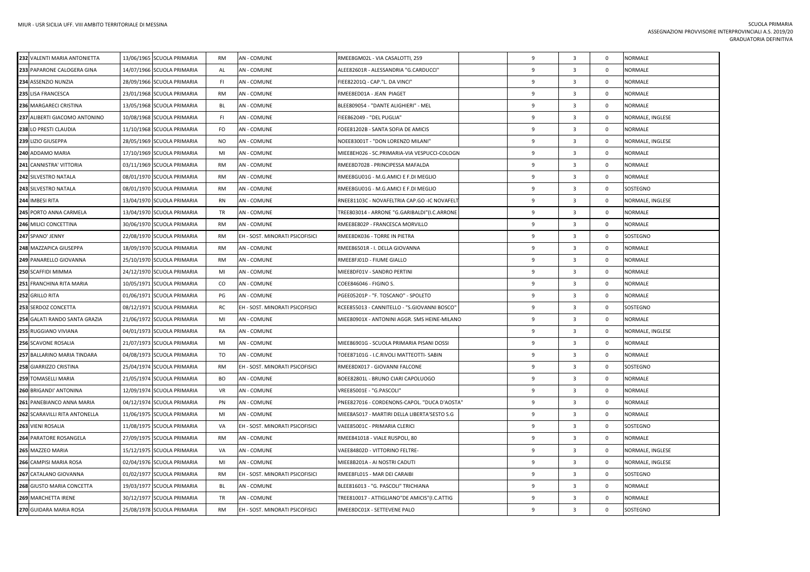| 232 VALENTI MARIA ANTONIETTA  | 13/06/1965 SCUOLA PRIMARIA | <b>RM</b> | <b>AN - COMUNE</b>              | RMEE8GM02L - VIA CASALOTTI, 259              | 9            | $\overline{\mathbf{3}}$ | $\mathbf 0$  | <b>NORMALE</b>   |
|-------------------------------|----------------------------|-----------|---------------------------------|----------------------------------------------|--------------|-------------------------|--------------|------------------|
| 233 PAPARONE CALOGERA GINA    | 14/07/1966 SCUOLA PRIMARIA | AL        | <b>AN - COMUNE</b>              | ALEE82601R - ALESSANDRIA "G.CARDUCCI"        | $\mathbf{q}$ | $\overline{\mathbf{3}}$ | $\mathbf 0$  | NORMALE          |
| 234 ASSENZIO NUNZIA           | 28/09/1966 SCUOLA PRIMARIA | FI.       | AN - COMUNE                     | FIEE82201Q - CAP."L. DA VINCI"               | 9            | $\overline{\mathbf{3}}$ | $\mathbf 0$  | <b>NORMALE</b>   |
| 235 LISA FRANCESCA            | 23/01/1968 SCUOLA PRIMARIA | <b>RM</b> | AN - COMUNE                     | RMEE8ED01A - JEAN PIAGET                     | $\mathbf{q}$ | $\overline{\mathbf{3}}$ | $\mathbf 0$  | <b>NORMALE</b>   |
| 236 MARGARECI CRISTINA        | 13/05/1968 SCUOLA PRIMARIA | BL        | <b>AN - COMUNE</b>              | BLEE809054 - "DANTE ALIGHIERI" - MEL         | 9            | $\overline{\mathbf{3}}$ | $\mathbf 0$  | <b>NORMALE</b>   |
| 237 ALIBERTI GIACOMO ANTONINO | 10/08/1968 SCUOLA PRIMARIA | FL.       | AN - COMUNE                     | FIEE862049 - "DEL PUGLIA"                    | 9            | $\overline{\mathbf{3}}$ | $\mathbf 0$  | NORMALE, INGLESE |
| 238 LO PRESTI CLAUDIA         | 11/10/1968 SCUOLA PRIMARIA | FO        | <b>AN - COMUNE</b>              | FOEE81202B - SANTA SOFIA DE AMICIS           | 9            | $\overline{\mathbf{3}}$ | $\mathbf{0}$ | NORMALE          |
| 239 LIZIO GIUSEPPA            | 28/05/1969 SCUOLA PRIMARIA | NO        | AN - COMUNE                     | NOEE83001T - "DON LORENZO MILANI"            | 9            | $\overline{\mathbf{3}}$ | $\mathsf 0$  | NORMALE, INGLESE |
| 240 ADDAMO MARIA              | 17/10/1969 SCUOLA PRIMARIA | MI        | <b>AN - COMUNE</b>              | MIEE8EH026 - SC.PRIMARIA-VIA VESPUCCI-COLOGN | 9            | $\overline{\mathbf{3}}$ | $\mathbf 0$  | <b>NORMALE</b>   |
| 241 CANNISTRA' VITTORIA       | 03/11/1969 SCUOLA PRIMARIA | RM        | AN - COMUNE                     | RMEE8D7028 - PRINCIPESSA MAFALDA             | 9            | $\overline{\mathbf{3}}$ | 0            | <b>NORMALE</b>   |
| 242 SILVESTRO NATALA          | 08/01/1970 SCUOLA PRIMARIA | <b>RM</b> | <b>AN - COMUNE</b>              | RMEE8GU01G - M.G.AMICI E F.DI MEGLIO         | $\mathbf{q}$ | $\overline{\mathbf{3}}$ | $\mathbf{0}$ | <b>NORMALE</b>   |
| 243 SILVESTRO NATALA          | 08/01/1970 SCUOLA PRIMARIA | RM        | AN - COMUNE                     | RMEE8GU01G - M.G.AMICI E F.DI MEGLIO         | 9            | $\overline{\mathbf{3}}$ | $\mathbf 0$  | SOSTEGNO         |
| 244 IMBESI RITA               | 13/04/1970 SCUOLA PRIMARIA | <b>RN</b> | <b>AN - COMUNE</b>              | RNEE81103C - NOVAFELTRIA CAP.GO -IC NOVAFELT | $\mathbf{q}$ | $\overline{\mathbf{3}}$ | $\mathbf 0$  | NORMALE, INGLESE |
| 245 PORTO ANNA CARMELA        | 13/04/1970 SCUOLA PRIMARIA | TR        | AN - COMUNE                     | TREE803014 - ARRONE "G.GARIBALDI"(I.C.ARRONE | 9            | $\overline{\mathbf{3}}$ | $\mathbf 0$  | NORMALE          |
| 246 MILICI CONCETTINA         | 30/06/1970 SCUOLA PRIMARIA | <b>RM</b> | AN - COMUNE                     | RMEE8E802P - FRANCESCA MORVILLO              | 9            | $\overline{\mathbf{3}}$ | $\mathsf 0$  | <b>NORMALE</b>   |
| 247 SPANO' JENNY              | 22/08/1970 SCUOLA PRIMARIA | <b>RM</b> | EH - SOST. MINORATI PSICOFISICI | RMEE8DK036 - TORRE IN PIETRA                 | 9            | $\overline{\mathbf{3}}$ | $\mathbf 0$  | SOSTEGNO         |
| 248 MAZZAPICA GIUSEPPA        | 18/09/1970 SCUOLA PRIMARIA | <b>RM</b> | <b>AN - COMUNE</b>              | RMEE86501R - I. DELLA GIOVANNA               | 9            | $\overline{3}$          | $\mathbf 0$  | <b>NORMALE</b>   |
| 249 PANARELLO GIOVANNA        | 25/10/1970 SCUOLA PRIMARIA | RM        | AN - COMUNE                     | RMEE8FJ01D - FIUME GIALLO                    | 9            | $\overline{\mathbf{3}}$ | $\mathbf 0$  | <b>NORMALE</b>   |
| 250 SCAFFIDI MIMMA            | 24/12/1970 SCUOLA PRIMARIA | MI        | <b>AN - COMUNE</b>              | MIEE8DF01V - SANDRO PERTINI                  | $\mathbf{q}$ | $\overline{3}$          | $\mathbf 0$  | <b>NORMALE</b>   |
| 251 FRANCHINA RITA MARIA      | 10/05/1971 SCUOLA PRIMARIA | CO        | AN - COMUNE                     | COEE846046 - FIGINO S.                       | 9            | $\overline{\mathbf{3}}$ | $\mathbf 0$  | <b>NORMALE</b>   |
| 252 GRILLO RITA               | 01/06/1971 SCUOLA PRIMARIA | PG        | AN - COMUNE                     | PGEE05201P - "F. TOSCANO" - SPOLETO          | $\mathbf{q}$ | $\overline{\mathbf{3}}$ | $\mathbf 0$  | <b>NORMALE</b>   |
| 253 SERDOZ CONCETTA           | 08/12/1971 SCUOLA PRIMARIA | RC.       | EH - SOST. MINORATI PSICOFISICI | RCEE855013 - CANNITELLO - "S.GIOVANNI BOSCO" | 9            | $\overline{\mathbf{3}}$ | $\mathbf 0$  | SOSTEGNO         |
| 254 GALATI RANDO SANTA GRAZIA | 21/06/1972 SCUOLA PRIMARIA | MI        | AN - COMUNE                     | MIEE80901X - ANTONINI AGGR. SMS HEINE-MILANO | 9            | $\overline{\mathbf{3}}$ | $\mathbf 0$  | <b>NORMALE</b>   |
| 255 RUGGIANO VIVIANA          | 04/01/1973 SCUOLA PRIMARIA | <b>RA</b> | AN - COMUNE                     |                                              | $\mathbf{q}$ | $\overline{\mathbf{3}}$ | $\mathbf 0$  | NORMALE, INGLESE |
| 256 SCAVONE ROSALIA           | 21/07/1973 SCUOLA PRIMARIA | MI        | AN - COMUNE                     | MIEE86901G - SCUOLA PRIMARIA PISANI DOSSI    | 9            | $\overline{\mathbf{3}}$ | 0            | <b>NORMALE</b>   |
| 257 BALLARINO MARIA TINDARA   | 04/08/1973 SCUOLA PRIMARIA | TO        | AN - COMUNE                     | TOEE87101G - I.C.RIVOLI MATTEOTTI- SABIN     | 9            | $\overline{\mathbf{3}}$ | $\mathbf 0$  | <b>NORMALE</b>   |
| 258 GIARRIZZO CRISTINA        | 25/04/1974 SCUOLA PRIMARIA | RM        | EH - SOST. MINORATI PSICOFISICI | RMEE8DX017 - GIOVANNI FALCONE                | 9            | $\overline{\mathbf{3}}$ | $\mathbf 0$  | SOSTEGNO         |
| 259 TOMASELLI MARIA           | 21/05/1974 SCUOLA PRIMARIA | <b>BO</b> | <b>AN - COMUNE</b>              | BOEE82801L - BRUNO CIARI CAPOLUOGO           | 9            | $\overline{\mathbf{3}}$ | $\mathsf 0$  | <b>NORMALE</b>   |
| 260 BRIGANDI' ANTONINA        | 12/09/1974 SCUOLA PRIMARIA | VR        | AN - COMUNE                     | VREE85001E - "G.PASCOLI"                     | 9            | $\overline{\mathbf{3}}$ | $\mathbf 0$  | <b>NORMALE</b>   |
| 261 PANEBIANCO ANNA MARIA     | 04/12/1974 SCUOLA PRIMARIA | PN        | <b>AN - COMUNE</b>              | PNEE827016 - CORDENONS-CAPOL. "DUCA D'AOSTA" | 9            | $\overline{\mathbf{3}}$ | $\mathbf 0$  | NORMALE          |
| 262 SCARAVILLI RITA ANTONELLA | 11/06/1975 SCUOLA PRIMARIA | MI        | <b>AN - COMUNE</b>              | MIEE8A5017 - MARTIRI DELLA LIBERTA'SESTO S.G | 9            | $\overline{\mathbf{3}}$ | $\mathsf 0$  | <b>NORMALE</b>   |
| 263 VIENI ROSALIA             | 11/08/1975 SCUOLA PRIMARIA | VA        | EH - SOST. MINORATI PSICOFISICI | VAEE85001C - PRIMARIA CLERICI                | $\mathbf{q}$ | $\overline{3}$          | $\mathbf 0$  | SOSTEGNO         |
| 264 PARATORE ROSANGELA        | 27/09/1975 SCUOLA PRIMARIA | RM        | <b>AN - COMUNE</b>              | RMEE841018 - VIALE RUSPOLI, 80               | 9            | $\overline{\mathbf{3}}$ | $\mathbf 0$  | <b>NORMALE</b>   |
| 265 MAZZEO MARIA              | 15/12/1975 SCUOLA PRIMARIA | VA        | AN - COMUNE                     | VAEE84802D - VITTORINO FELTRE-               | $\mathsf{q}$ | $\overline{\mathbf{3}}$ | $\mathbf 0$  | NORMALE, INGLESE |
| 266 CAMPISI MARIA ROSA        | 02/04/1976 SCUOLA PRIMARIA | MI        | AN - COMUNE                     | MIEE8B201A - AI NOSTRI CADUTI                | $\mathbf{q}$ | $\overline{\mathbf{3}}$ | 0            | NORMALE, INGLESE |
| 267 CATALANO GIOVANNA         | 01/02/1977 SCUOLA PRIMARIA | RM        | EH - SOST. MINORATI PSICOFISICI | RMEE8FL015 - MAR DEI CARAIBI                 | 9            | $\overline{\mathbf{3}}$ | $\mathbf 0$  | SOSTEGNO         |
| 268 GIUSTO MARIA CONCETTA     | 19/03/1977 SCUOLA PRIMARIA | <b>BL</b> | <b>AN - COMUNE</b>              | BLEE816013 - "G. PASCOLI" TRICHIANA          | 9            | $\overline{\mathbf{3}}$ | $\mathbf 0$  | <b>NORMALE</b>   |
| 269 MARCHETTA IRENE           | 30/12/1977 SCUOLA PRIMARIA | TR        | AN - COMUNE                     | TREE810017 - ATTIGLIANO"DE AMICIS"(I.C.ATTIG | 9            | $\overline{\mathbf{3}}$ | $\mathbf 0$  | <b>NORMALE</b>   |
| 270 GUIDARA MARIA ROSA        | 25/08/1978 SCUOLA PRIMARIA | <b>RM</b> | EH - SOST. MINORATI PSICOFISICI | RMEE8DC01X - SETTEVENE PALO                  | $\mathbf{q}$ | $\overline{3}$          | $\mathbf 0$  | SOSTEGNO         |
|                               |                            |           |                                 |                                              |              |                         |              |                  |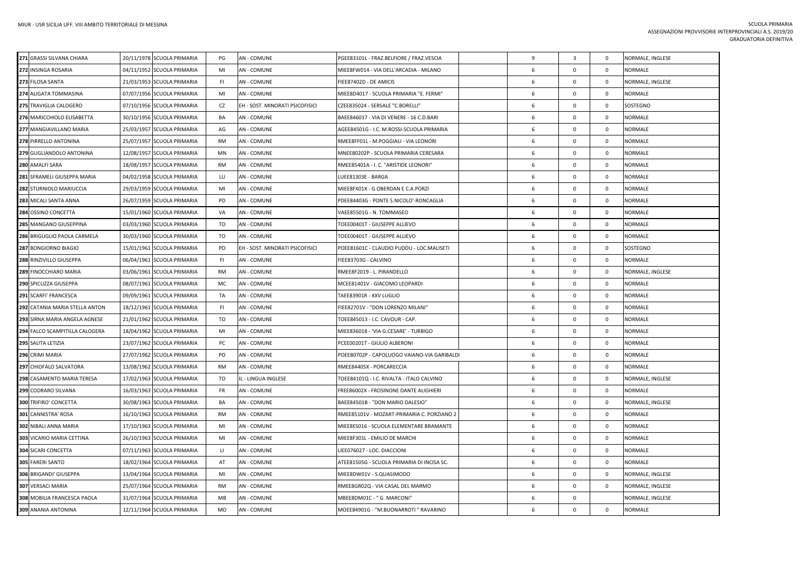| 271 GRASSI SILVANA CHIARA      | 20/11/1978 SCUOLA PRIMARIA | PG        | <b>AN - COMUNE</b>              | PGEE83101L - FRAZ.BELFIORE / FRAZ.VESCIA    | 9 | $\overline{\mathbf{3}}$ | $\mathbf{0}$ | NORMALE, INGLESE |
|--------------------------------|----------------------------|-----------|---------------------------------|---------------------------------------------|---|-------------------------|--------------|------------------|
| 272 INSINGA ROSARIA            | 04/11/1952 SCUOLA PRIMARIA | MI        | AN - COMUNE                     | MIEE8FW014 - VIA DELL'ARCADIA - MILANO      | 6 | $\mathbf 0$             | $\mathbf 0$  | NORMALE          |
| 273 FILOSA SANTA               | 21/03/1953 SCUOLA PRIMARIA | FL.       | AN - COMUNE                     | FIEE87402D - DE AMICIS                      | 6 | $\mathbf 0$             | $\mathbf{0}$ | NORMALE, INGLESE |
| 274 ALIGATA TOMMASINA          | 07/07/1956 SCUOLA PRIMARIA | MI        | AN - COMUNE                     | MIEE8D4017 - SCUOLA PRIMARIA "E. FERMI"     | 6 | $\mathbf 0$             | $\mathbf{0}$ | <b>NORMALE</b>   |
| 275 TRAVIGLIA CALOGERO         | 07/10/1956 SCUOLA PRIMARIA | CZ        | EH - SOST. MINORATI PSICOFISICI | "CZEE835024 - SERSALE "C.BORELLI"           | 6 | $\mathbf 0$             | $\mathbf{0}$ | SOSTEGNO         |
| 276 MARICCHIOLO ELISABETTA     | 30/10/1956 SCUOLA PRIMARIA | BA        | AN - COMUNE                     | BAEE846017 - VIA DI VENERE - 16 C.D.BARI    | 6 | 0                       | $\mathbf{0}$ | NORMALE          |
| 277 MANGIAVILLANO MARIA        | 25/03/1957 SCUOLA PRIMARIA | AG        | AN - COMUNE                     | AGEE84501G - I.C. M.ROSSI-SCUOLA PRIMARIA   | 6 | $\mathbf 0$             | $\mathbf 0$  | <b>NORMALE</b>   |
| 278 PIRRELLO ANTONINA          | 25/07/1957 SCUOLA PRIMARIA | <b>RM</b> | AN - COMUNE                     | RMEE8FF01L - M.POGGIALI - VIA LEONORI       | 6 | $\mathbf 0$             | $\mathbf{0}$ | NORMALE          |
| 279 GUGLIANDOLO ANTONINA       | 12/08/1957 SCUOLA PRIMARIA | MN        | AN - COMUNE                     | MNEE80202P - SCUOLA PRIMARIA CERESARA       | 6 | $\mathbf 0$             | $\mathbf{0}$ | <b>NORMALE</b>   |
| 280 AMALFI SARA                | 18/08/1957 SCUOLA PRIMARIA | <b>RM</b> | AN - COMUNE                     | RMEE85401A - I. C. "ARISTIDE LEONORI"       | 6 | 0                       | $\mathbf{0}$ | NORMALE          |
| 281 SFRAMELI GIUSEPPA MARIA    | 04/02/1958 SCUOLA PRIMARIA | LU        | <b>AN - COMUNE</b>              | LUEE81303E - BARGA                          | 6 | $\Omega$                | $\mathbf{0}$ | NORMALE          |
| 282 STURNIOLO MARIUCCIA        | 29/03/1959 SCUOLA PRIMARIA | MI        | <b>AN - COMUNE</b>              | MIEE8FX01X - G.OBERDAN E C.A.PORZI          | 6 | $\mathbf{0}$            | $\mathbf{0}$ | NORMALE          |
| 283 MICALI SANTA ANNA          | 26/07/1959 SCUOLA PRIMARIA | PD        | AN - COMUNE                     | PDEE84403G - PONTE S.NICOLO'-RONCAGLIA      | 6 | $\mathbf{0}$            | $\mathbf{0}$ | NORMALE          |
| 284 OSSINO CONCETTA            | 15/01/1960 SCUOLA PRIMARIA | VA        | <b>AN - COMUNE</b>              | VAEE85501G - N. TOMMASEO                    | 6 | $\mathbf 0$             | $\mathbf 0$  | NORMALE          |
| 285 MANGANO GIUSEPPINA         | 03/03/1960 SCUOLA PRIMARIA | TO        | AN - COMUNE                     | TOEE00401T - GIUSEPPE ALLIEVO               | 6 | $\mathbf{0}$            | $\mathbf{0}$ | NORMALE          |
| 286 BRIGUGLIO PAOLA CARMELA    | 30/03/1960 SCUOLA PRIMARIA | TO        | AN - COMUNE                     | TOEE00401T - GIUSEPPE ALLIEVO               | 6 | 0                       | $\mathbf{0}$ | <b>NORMALE</b>   |
| 287 BONGIORNO BIAGIO           | 15/01/1961 SCUOLA PRIMARIA | PO        | EH - SOST. MINORATI PSICOFISICI | POEE81601C - CLAUDIO PUDDU - LOC.MALISETI   | 6 | $\Omega$                | $\mathbf 0$  | SOSTEGNO         |
| 288 RINZIVILLO GIUSEPPA        | 06/04/1961 SCUOLA PRIMARIA | FI.       | AN - COMUNE                     | FIEE83703G - CALVINO                        | 6 | $\mathbf 0$             | $\mathbf{0}$ | <b>NORMALE</b>   |
| 289 FINOCCHIARO MARIA          | 03/06/1961 SCUOLA PRIMARIA | <b>RM</b> | AN - COMUNE                     | RMEE8F2019 - L. PIRANDELLO                  | 6 | $\mathbf{0}$            | $\mathbf{0}$ | NORMALE, INGLESE |
| 290 SPICUZZA GIUSEPPA          | 08/07/1961 SCUOLA PRIMARIA | MC        | AN - COMUNE                     | MCEE81401V - GIACOMO LEOPARDI               | 6 | $\mathbf 0$             | $\mathbf{0}$ | <b>NORMALE</b>   |
| 291 SCARFI' FRANCESCA          | 09/09/1961 SCUOLA PRIMARIA | TA        | AN - COMUNE                     | TAEE83901R - XXV LUGLIO                     | 6 | 0                       | $\mathbf{0}$ | <b>NORMALE</b>   |
| 292 CATANIA MARIA STELLA ANTON | 18/12/1961 SCUOLA PRIMARIA | FL.       | AN - COMUNE                     | FIEE82701V - "DON LORENZO MILANI"           | 6 | $\mathbf 0$             | $\mathbf 0$  | <b>NORMALE</b>   |
| 293 SIRNA MARIA ANGELA AGNESE  | 21/01/1962 SCUOLA PRIMARIA | TO        | AN - COMUNE                     | TOEE845013 - I.C. CAVOUR - CAP.             | 6 | $\Omega$                | $\mathbf 0$  | NORMALE          |
| 294 FALCO SCAMPITILLA CALOGERA | 18/04/1962 SCUOLA PRIMARIA | MI        | AN - COMUNE                     | MIEE836018 - 'VIA G.CESARE' - TURBIGO       | 6 | 0                       | $\mathbf 0$  | NORMALE          |
| 295 SAUTA LETIZIA              | 23/07/1962 SCUOLA PRIMARIA | PC        | AN - COMUNE                     | PCEE00201T - GIULIO ALBERONI                | 6 | $\mathbf{0}$            | $\mathbf{0}$ | <b>NORMALE</b>   |
| 296 CRIMI MARIA                | 27/07/1962 SCUOLA PRIMARIA | PO.       | <b>AN - COMUNE</b>              | POEE80702P - CAPOLUOGO VAIANO-VIA GARIBALDI | 6 | $\mathbf 0$             | $\mathbf{0}$ | NORMALE          |
| 297 CHIOFALO SALVATORA         | 13/08/1962 SCUOLA PRIMARIA | RM        | AN - COMUNE                     | RMEE84405X - PORCARECCIA                    | 6 | 0                       | $\mathbf 0$  | <b>NORMALE</b>   |
| 298 CASAMENTO MARIA TERESA     | 17/02/1963 SCUOLA PRIMARIA | TO        | IL - LINGUA INGLESE             | TOEE84101Q - I.C. RIVALTA - ITALO CALVINO   | 6 | $\mathbf 0$             | $\mathbf 0$  | NORMALE, INGLESE |
| 299 CODRARO SILVANA            | 16/03/1963 SCUOLA PRIMARIA | <b>FR</b> | AN - COMUNE                     | FREE86002X - FROSINONE DANTE ALIGHIERI      | 6 | $\mathbf 0$             | $\mathbf{0}$ | <b>NORMALE</b>   |
| <b>300 TRIFIRO' CONCETTA</b>   | 30/08/1963 SCUOLA PRIMARIA | BA        | AN - COMUNE                     | BAEE84501B - "DON MARIO DALESIO"            | 6 | $\Omega$                | $\mathbf 0$  | NORMALE, INGLESE |
| 301 CANNISTRA' ROSA            | 16/10/1963 SCUOLA PRIMARIA | RM        | AN - COMUNE                     | RMEE85101V - MOZART-PRIMARIA C. PORZIANO 2  | 6 | $\mathbf 0$             | $\mathbf 0$  | NORMALE          |
| 302 NIBALI ANNA MARIA          | 17/10/1963 SCUOLA PRIMARIA | MI        | AN - COMUNE                     | MIEE8ES016 - SCUOLA ELEMENTARE BRAMANTE     | 6 | $\mathbf 0$             | $\mathbf 0$  | <b>NORMALE</b>   |
| 303 VICARIO MARIA CETTINA      | 26/10/1963 SCUOLA PRIMARIA | MI        | AN - COMUNE                     | MIEE8F301L - EMILIO DE MARCHI               | 6 | $\mathbf{0}$            | $\mathbf{0}$ | NORMALE          |
| <b>304 SICARI CONCETTA</b>     | 07/11/1963 SCUOLA PRIMARIA | Ш         | AN - COMUNE                     | LIEE076027 - LOC. DIACCIONI                 | 6 | 0                       | $\mathbf 0$  | NORMALE          |
| 305 FARERI SANTO               | 18/02/1964 SCUOLA PRIMARIA | AT        | AN - COMUNE                     | ATEE81505G - SCUOLA PRIMARIA DI INCISA SC.  | 6 | $\mathbf 0$             | $\mathbf 0$  | NORMALE          |
| 306 BRIGANDI' GIUSEPPA         | 13/04/1964 SCUOLA PRIMARIA | MI        | AN - COMUNE                     | MIEE8DW01V - S.QUASIMODO                    | 6 | $\Omega$                | $\mathbf 0$  | NORMALE, INGLESE |
| 307 VERSACI MARIA              | 25/07/1964 SCUOLA PRIMARIA | <b>RM</b> | AN - COMUNE                     | RMEE8GR02Q - VIA CASAL DEL MARMO            | 6 | $\mathbf{0}$            | $\mathbf{0}$ | NORMALE, INGLESE |
| 308 MOBILIA FRANCESCA PAOLA    | 31/07/1964 SCUOLA PRIMARIA | MB        | AN - COMUNE                     | MBEE8DM01C - " G. MARCONI"                  | 6 | $\mathbf 0$             |              | NORMALE, INGLESE |
| 309 ANANIA ANTONINA            | 12/11/1964 SCUOLA PRIMARIA | <b>MO</b> | AN - COMUNE                     | MOEE84901G - "M.BUONARROTI " RAVARINO       | 6 | 0                       | $\mathbf 0$  | <b>NORMALE</b>   |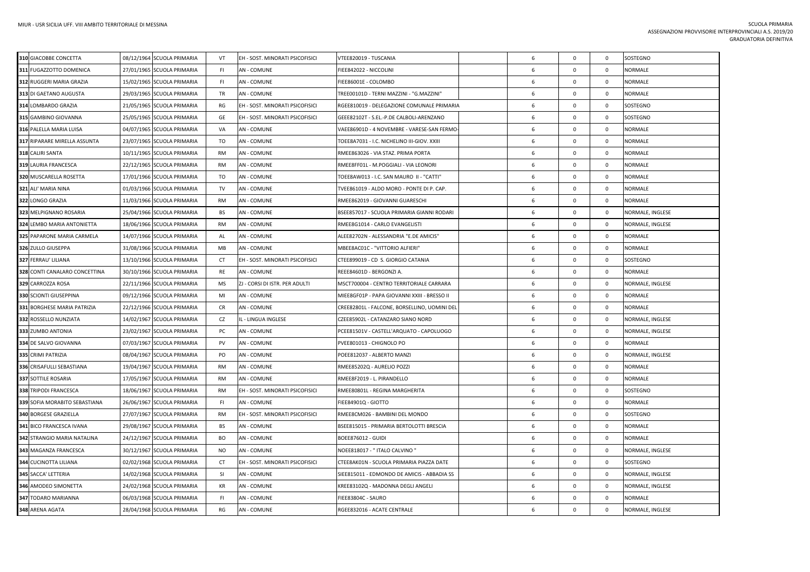| 310 GIACOBBE CONCETTA         | 08/12/1964 SCUOLA PRIMARIA | VT        | EH - SOST. MINORATI PSICOFISICI | VTEE820019 - TUSCANIA                        | 6 | $\mathbf 0$  | $\mathsf 0$ | SOSTEGNO         |
|-------------------------------|----------------------------|-----------|---------------------------------|----------------------------------------------|---|--------------|-------------|------------------|
| 311 FUGAZZOTTO DOMENICA       | 27/01/1965 SCUOLA PRIMARIA | FI.       | AN - COMUNE                     | FIEE842022 - NICCOLINI                       | 6 | $\mathbf 0$  | $\mathbf 0$ | <b>NORMALE</b>   |
| 312 RUGGERI MARIA GRAZIA      | 15/02/1965 SCUOLA PRIMARIA | FI        | <b>AN - COMUNE</b>              | FIEE86001E - COLOMBO                         | 6 | $\mathbf 0$  | $\mathbf 0$ | <b>NORMALE</b>   |
| 313 DI GAETANO AUGUSTA        | 29/03/1965 SCUOLA PRIMARIA | TR        | AN - COMUNE                     | TREE00101D - TERNI MAZZINI - "G.MAZZINI"     | 6 | $\mathsf 0$  | $\mathsf 0$ | <b>NORMALE</b>   |
| 314 LOMBARDO GRAZIA           | 21/05/1965 SCUOLA PRIMARIA | RG        | EH - SOST. MINORATI PSICOFISICI | RGEE810019 - DELEGAZIONE COMUNALE PRIMARIA   | 6 | $\mathbf 0$  | $\mathsf 0$ | SOSTEGNO         |
| 315 GAMBINO GIOVANNA          | 25/05/1965 SCUOLA PRIMARIA | GE        | EH - SOST. MINORATI PSICOFISICI | GEEE82102T - S.EL.-P.DE CALBOLI-ARENZANO     | 6 | $\mathbf 0$  | $\mathbf 0$ | SOSTEGNO         |
| 316 PALELLA MARIA LUISA       | 04/07/1965 SCUOLA PRIMARIA | VA        | <b>AN - COMUNE</b>              | VAEE86901D - 4 NOVEMBRE - VARESE-SAN FERMO-  | 6 | $\mathbf 0$  | $\mathbf 0$ | <b>NORMALE</b>   |
| 317 RIPARARE MIRELLA ASSUNTA  | 23/07/1965 SCUOLA PRIMARIA | TO        | <b>AN - COMUNE</b>              | TOEE8A7031 - I.C. NICHELINO III-GIOV. XXIII  | 6 | $\mathsf 0$  | $\mathsf 0$ | <b>NORMALE</b>   |
| 318 CALIRI SANTA              | 10/11/1965 SCUOLA PRIMARIA | RM        | <b>AN - COMUNE</b>              | RMEE863026 - VIA STAZ. PRIMA PORTA           | 6 | $\mathsf{O}$ | $\mathsf 0$ | <b>NORMALE</b>   |
| 319 LAURIA FRANCESCA          | 22/12/1965 SCUOLA PRIMARIA | <b>RM</b> | AN - COMUNE                     | RMEE8FF01L - M.POGGIALI - VIA LEONORI        | 6 | $\mathbf 0$  | $\mathsf 0$ | <b>NORMALE</b>   |
| 320 MUSCARELLA ROSETTA        | 17/01/1966 SCUOLA PRIMARIA | TO        | AN - COMUNE                     | TOEE8AW013 - I.C. SAN MAURO II - "CATTI"     | 6 | $\mathsf{O}$ | $\mathsf 0$ | <b>NORMALE</b>   |
| 321 ALI' MARIA NINA           | 01/03/1966 SCUOLA PRIMARIA | TV        | <b>AN - COMUNE</b>              | TVEE861019 - ALDO MORO - PONTE DI P. CAP.    | 6 | $\mathbf 0$  | $\mathsf 0$ | <b>NORMALE</b>   |
| 322 LONGO GRAZIA              | 11/03/1966 SCUOLA PRIMARIA | <b>RM</b> | <b>AN - COMUNE</b>              | RMEE862019 - GIOVANNI GUARESCHI              | 6 | $\mathbf 0$  | $\mathbf 0$ | <b>NORMALE</b>   |
| 323 MELPIGNANO ROSARIA        | 25/04/1966 SCUOLA PRIMARIA | BS        | <b>AN - COMUNE</b>              | BSEE857017 - SCUOLA PRIMARIA GIANNI RODARI   | 6 | $\mathbf 0$  | $\mathbf 0$ | NORMALE, INGLESE |
| 324 LEMBO MARIA ANTONIETTA    | 18/06/1966 SCUOLA PRIMARIA | RM        | <b>AN - COMUNE</b>              | RMEE8G1014 - CARLO EVANGELISTI               | 6 | $\mathbf 0$  | $\mathsf 0$ | NORMALE, INGLESE |
| 325 PAPARONE MARIA CARMELA    | 14/07/1966 SCUOLA PRIMARIA | AL        | AN - COMUNE                     | ALEE82702N - ALESSANDRIA "E.DE AMICIS"       | 6 | $\mathbf 0$  | $\mathsf 0$ | <b>NORMALE</b>   |
| 326 ZULLO GIUSEPPA            | 31/08/1966 SCUOLA PRIMARIA | MB        | AN - COMUNE                     | MBEE8AC01C - "VITTORIO ALFIERI"              | 6 | $\mathbf 0$  | $\mathbf 0$ | <b>NORMALE</b>   |
| 327 FERRAU' LILIANA           | 13/10/1966 SCUOLA PRIMARIA | CT        | EH - SOST. MINORATI PSICOFISICI | CTEE899019 - CD S. GIORGIO CATANIA           | 6 | $\mathbf 0$  | 0           | SOSTEGNO         |
| 328 CONTI CANALARO CONCETTINA | 30/10/1966 SCUOLA PRIMARIA | RE        | AN - COMUNE                     | REEE84601D - BERGONZI A.                     | 6 | $\mathbf 0$  | $\mathsf 0$ | <b>NORMALE</b>   |
| 329 CARROZZA ROSA             | 22/11/1966 SCUOLA PRIMARIA | <b>MS</b> | ZJ - CORSI DI ISTR. PER ADULTI  | MSCT700004 - CENTRO TERRITORIALE CARRARA     | 6 | $\mathbf 0$  | $\mathbf 0$ | NORMALE, INGLESE |
| 330 SCIONTI GIUSEPPINA        | 09/12/1966 SCUOLA PRIMARIA | MI        | <b>AN - COMUNE</b>              | MIEE8GF01P - PAPA GIOVANNI XXIII - BRESSO II | 6 | $\mathsf{O}$ | 0           | <b>NORMALE</b>   |
| 331 BORGHESE MARIA PATRIZIA   | 22/12/1966 SCUOLA PRIMARIA | CR        | AN - COMUNE                     | CREE82801L - FALCONE, BORSELLINO, UOMINI DEL | 6 | $\mathsf 0$  | $\mathsf 0$ | <b>NORMALE</b>   |
| 332 ROSSELLO NUNZIATA         | 14/02/1967 SCUOLA PRIMARIA | CZ        | IL - LINGUA INGLESE             | CZEE85902L - CATANZARO SIANO NORD            | 6 | $\mathbf 0$  | $\mathbf 0$ | NORMALE, INGLESE |
| 333 ZUMBO ANTONIA             | 23/02/1967 SCUOLA PRIMARIA | PC        | AN - COMUNE                     | PCEE81501V - CASTELL'ARQUATO - CAPOLUOGO     | 6 | $\mathbf 0$  | $\mathbf 0$ | NORMALE, INGLESE |
| 334 DE SALVO GIOVANNA         | 07/03/1967 SCUOLA PRIMARIA | PV        | <b>AN - COMUNE</b>              | PVEE801013 - CHIGNOLO PO                     | 6 | $\mathbf 0$  | $\mathbf 0$ | <b>NORMALE</b>   |
| 335 CRIMI PATRIZIA            | 08/04/1967 SCUOLA PRIMARIA | PO        | <b>AN - COMUNE</b>              | POEE812037 - ALBERTO MANZI                   | 6 | $\mathbf 0$  | $\mathbf 0$ | NORMALE, INGLESE |
| 336 CRISAFULLI SEBASTIANA     | 19/04/1967 SCUOLA PRIMARIA | RM        | <b>AN - COMUNE</b>              | RMEE85202Q - AURELIO POZZI                   | 6 | $\mathbf 0$  | $\mathbf 0$ | <b>NORMALE</b>   |
| 337 SOTTILE ROSARIA           | 17/05/1967 SCUOLA PRIMARIA | RM        | AN - COMUNE                     | RMEE8F2019 - L. PIRANDELLO                   | 6 | $\mathbf 0$  | $\mathsf 0$ | <b>NORMALE</b>   |
| 338 TRIPODI FRANCESCA         | 18/06/1967 SCUOLA PRIMARIA | <b>RM</b> | EH - SOST. MINORATI PSICOFISICI | RMEE80801L - REGINA MARGHERITA               | 6 | $\mathsf 0$  | $\mathsf 0$ | SOSTEGNO         |
| 339 SOFIA MORABITO SEBASTIANA | 26/06/1967 SCUOLA PRIMARIA | FI.       | <b>AN - COMUNE</b>              | FIEE84901Q - GIOTTO                          | 6 | $\mathbf 0$  | $\mathbf 0$ | <b>NORMALE</b>   |
| 340 BORGESE GRAZIELLA         | 27/07/1967 SCUOLA PRIMARIA | RM        | EH - SOST. MINORATI PSICOFISICI | RMEE8CM026 - BAMBINI DEL MONDO               | 6 | $\mathsf 0$  | $\mathsf 0$ | SOSTEGNO         |
| 341 BICO FRANCESCA IVANA      | 29/08/1967 SCUOLA PRIMARIA | BS        | <b>AN - COMUNE</b>              | BSEE815015 - PRIMARIA BERTOLOTTI BRESCIA     | 6 | $\mathsf 0$  | $\mathsf 0$ | <b>NORMALE</b>   |
| 342 STRANGIO MARIA NATALINA   | 24/12/1967 SCUOLA PRIMARIA | BO        | AN - COMUNE                     | <b>BOEE876012 - GUIDI</b>                    | 6 | $\mathbf 0$  | $\mathbf 0$ | <b>NORMALE</b>   |
| 343 MAGANZA FRANCESCA         | 30/12/1967 SCUOLA PRIMARIA | NO        | AN - COMUNE                     | NOEE818017 - " ITALO CALVINO "               | 6 | $\mathsf{O}$ | $\mathsf 0$ | NORMALE, INGLESE |
| 344 CUCINOTTA LILIANA         | 02/02/1968 SCUOLA PRIMARIA | CT        | EH - SOST. MINORATI PSICOFISICI | CTEE8AK01N - SCUOLA PRIMARIA PIAZZA DATE     | 6 | $\mathbf 0$  | $\mathsf 0$ | SOSTEGNO         |
| 345 SACCA' LETTERIA           | 14/02/1968 SCUOLA PRIMARIA | SI        | <b>AN - COMUNE</b>              | SIEE815011 - EDMONDO DE AMICIS - ABBADIA SS  | 6 | $\mathsf{O}$ | $\mathsf 0$ | NORMALE, INGLESE |
| 346 AMODEO SIMONETTA          | 24/02/1968 SCUOLA PRIMARIA | KR        | <b>AN - COMUNE</b>              | KREE83102Q - MADONNA DEGLI ANGELI            | 6 | $\mathsf{O}$ | $\mathbf 0$ | NORMALE, INGLESE |
| 347 TODARO MARIANNA           | 06/03/1968 SCUOLA PRIMARIA | FI        | AN - COMUNE                     | FIEE83804C - SAURO                           | 6 | $\mathbf 0$  | $\mathsf 0$ | <b>NORMALE</b>   |
| 348 ARENA AGATA               | 28/04/1968 SCUOLA PRIMARIA | RG        | <b>AN - COMUNE</b>              | RGEE832016 - ACATE CENTRALE                  | 6 | $\mathbf 0$  | $\mathsf 0$ | NORMALE, INGLESE |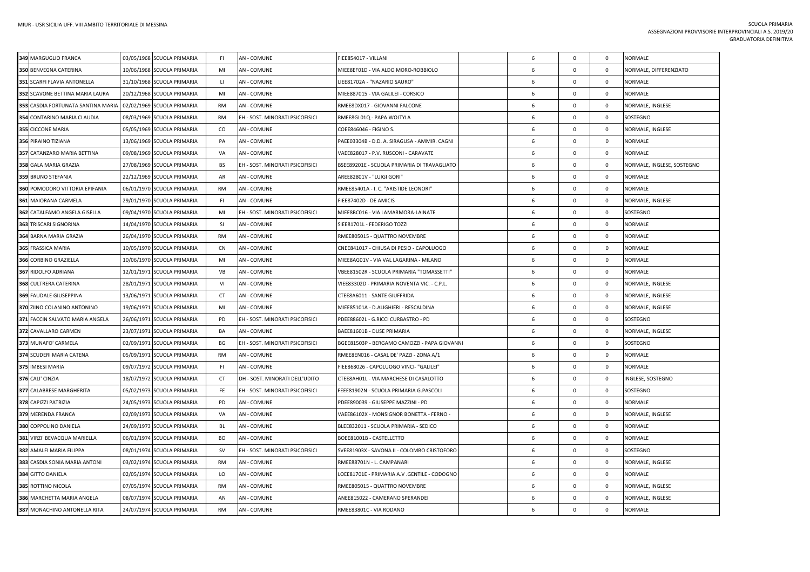| 349 MARGUGLIO FRANCA               | 03/05/1968 SCUOLA PRIMARIA | FI           | AN - COMUNE                     | FIEE854017 - VILLANI                         | 6 | $\mathbf 0$  | $\mathbf 0$    | NORMALE                    |
|------------------------------------|----------------------------|--------------|---------------------------------|----------------------------------------------|---|--------------|----------------|----------------------------|
| 350 BENVEGNA CATERINA              | 10/06/1968 SCUOLA PRIMARIA | MI           | <b>AN - COMUNE</b>              | MIEE8EF01D - VIA ALDO MORO-ROBBIOLO          | 6 | $\mathbf 0$  | $\overline{0}$ | NORMALE, DIFFERENZIATO     |
| 351 SCARFI FLAVIA ANTONELLA        | 31/10/1968 SCUOLA PRIMARIA | $\mathbf{L}$ | <b>AN - COMUNE</b>              | LIEE81702A - "NAZARIO SAURO"                 | 6 | $\mathbf 0$  | $\overline{0}$ | <b>NORMALE</b>             |
| 352 SCAVONE BETTINA MARIA LAURA    | 20/12/1968 SCUOLA PRIMARIA | MI           | <b>AN - COMUNE</b>              | MIEE887015 - VIA GALILEI - CORSICO           | 6 | $\mathbf 0$  | $\overline{0}$ | NORMALE                    |
| 353 CASDIA FORTUNATA SANTINA MARIA | 02/02/1969 SCUOLA PRIMARIA | RM           | AN - COMUNE                     | RMEE8DX017 - GIOVANNI FALCONE                | 6 | $\mathbf 0$  | $\mathbf 0$    | NORMALE, INGLESE           |
| 354 CONTARINO MARIA CLAUDIA        | 08/03/1969 SCUOLA PRIMARIA | <b>RM</b>    | EH - SOST. MINORATI PSICOFISICI | RMEE8GL01Q - PAPA WOJTYLA                    | 6 | $\mathbf 0$  | $\mathbf 0$    | SOSTEGNO                   |
| 355 CICCONE MARIA                  | 05/05/1969 SCUOLA PRIMARIA | CO           | <b>AN - COMUNE</b>              | COEE846046 - FIGINO S.                       | 6 | $\mathbf 0$  | $\mathbf 0$    | NORMALE, INGLESE           |
| 356 PIRAINO TIZIANA                | 13/06/1969 SCUOLA PRIMARIA | PA           | AN - COMUNE                     | PAEE03304B - D.D. A. SIRAGUSA - AMMIR. CAGNI | 6 | $\mathbf 0$  | $\mathbf 0$    | NORMALE                    |
| 357 CATANZARO MARIA BETTINA        | 09/08/1969 SCUOLA PRIMARIA | VA           | <b>AN - COMUNE</b>              | VAEE828017 - P.V. RUSCONI - CARAVATE         | 6 | $\mathbf 0$  | $\overline{0}$ | <b>NORMALE</b>             |
| 358 GALA MARIA GRAZIA              | 27/08/1969 SCUOLA PRIMARIA | BS           | EH - SOST. MINORATI PSICOFISICI | BSEE89201E - SCUOLA PRIMARIA DI TRAVAGLIATO  | 6 | $\mathbf 0$  | $\overline{0}$ | NORMALE, INGLESE, SOSTEGNO |
| 359 BRUNO STEFANIA                 | 22/12/1969 SCUOLA PRIMARIA | AR           | <b>AN - COMUNE</b>              | AREE82801V - "LUIGI GORI"                    | 6 | $\mathbf{0}$ | $\overline{0}$ | NORMALE                    |
| 360 POMODORO VITTORIA EPIFANIA     | 06/01/1970 SCUOLA PRIMARIA | <b>RM</b>    | <b>AN - COMUNE</b>              | RMEE85401A - I. C. "ARISTIDE LEONORI"        | 6 | $\mathbf 0$  | $\mathbf 0$    | NORMALE                    |
| 361 MAIORANA CARMELA               | 29/01/1970 SCUOLA PRIMARIA | -FI          | <b>AN - COMUNE</b>              | FIEE87402D - DE AMICIS                       | 6 | $\mathbf 0$  | $\mathbf 0$    | NORMALE, INGLESE           |
| 362 CATALFAMO ANGELA GISELLA       | 09/04/1970 SCUOLA PRIMARIA | MI           | EH - SOST. MINORATI PSICOFISICI | MIEE8BC016 - VIA LAMARMORA-LAINATE           | 6 | $\mathbf 0$  | $\mathbf 0$    | SOSTEGNO                   |
| 363 TRISCARI SIGNORINA             | 14/04/1970 SCUOLA PRIMARIA | <b>SI</b>    | <b>AN - COMUNE</b>              | SIEE81701L - FEDERIGO TOZZI                  | 6 | $\mathbf 0$  | $\mathbf 0$    | NORMALE                    |
| 364 BARNA MARIA GRAZIA             | 26/04/1970 SCUOLA PRIMARIA | <b>RM</b>    | AN - COMUNE                     | RMEE805015 - QUATTRO NOVEMBRE                | 6 | $\mathbf 0$  | $\overline{0}$ | NORMALE                    |
| 365 FRASSICA MARIA                 | 10/05/1970 SCUOLA PRIMARIA | <b>CN</b>    | <b>AN - COMUNE</b>              | CNEE841017 - CHIUSA DI PESIO - CAPOLUOGO     | 6 | $^{\circ}$   | $\mathbf{0}$   | NORMALE                    |
| 366 CORBINO GRAZIELLA              | 10/06/1970 SCUOLA PRIMARIA | MI           | AN - COMUNE                     | MIEE8AG01V - VIA VAL LAGARINA - MILANO       | 6 | $\mathbf 0$  | $\mathbf 0$    | NORMALE                    |
| 367 RIDOLFO ADRIANA                | 12/01/1971 SCUOLA PRIMARIA | VB           | <b>AN - COMUNE</b>              | VBEE81502R - SCUOLA PRIMARIA "TOMASSETTI"    | 6 | $\mathbf 0$  | $\mathbf 0$    | NORMALE                    |
| 368 CULTRERA CATERINA              | 28/01/1971 SCUOLA PRIMARIA | VI           | <b>AN - COMUNE</b>              | /IEE83302D - PRIMARIA NOVENTA VIC. - C.P.L.  | 6 | $\mathbf 0$  | $\mathbf 0$    | NORMALE, INGLESE           |
| <b>369 FAUDALE GIUSEPPINA</b>      | 13/06/1971 SCUOLA PRIMARIA | <b>CT</b>    | <b>AN - COMUNE</b>              | CTEE8A6011 - SANTE GIUFFRIDA                 | 6 | $\mathbf 0$  | $\mathbf 0$    | NORMALE, INGLESE           |
| 370 ZIINO COLANINO ANTONINO        | 19/06/1971 SCUOLA PRIMARIA | MI           | AN - COMUNE                     | MIEE85101A - D.ALIGHIERI - RESCALDINA        | 6 | $\mathbf{0}$ | $\mathbf 0$    | NORMALE, INGLESE           |
| 371 FACCIN SALVATO MARIA ANGELA    | 26/06/1971 SCUOLA PRIMARIA | PD           | EH - SOST. MINORATI PSICOFISICI | PDEE88602L - G.RICCI CURBASTRO - PD          | 6 | $\mathbf 0$  | $\overline{0}$ | SOSTEGNO                   |
| 372 CAVALLARO CARMEN               | 23/07/1971 SCUOLA PRIMARIA | BA           | AN - COMUNE                     | BAEE81601B - DUSE PRIMARIA                   | 6 | $\mathbf 0$  | $\mathbf{0}$   | NORMALE, INGLESE           |
| 373 MUNAFO' CARMELA                | 02/09/1971 SCUOLA PRIMARIA | BG           | EH - SOST. MINORATI PSICOFISICI | BGEE81503P - BERGAMO CAMOZZI - PAPA GIOVANNI | 6 | $\mathbf 0$  | $\mathbf 0$    | SOSTEGNO                   |
| 374 SCUDERI MARIA CATENA           | 05/09/1971 SCUOLA PRIMARIA | <b>RM</b>    | <b>AN - COMUNE</b>              | RMEE8EN016 - CASAL DE' PAZZI - ZONA A/1      | 6 | $\mathsf 0$  | $\mathbf 0$    | NORMALE                    |
| 375 IMBESI MARIA                   | 09/07/1972 SCUOLA PRIMARIA | FI           | <b>AN - COMUNE</b>              | FIEE868026 - CAPOLUOGO VINCI- "GALILEI"      | 6 | $\mathbf 0$  | $\mathbf 0$    | NORMALE                    |
| 376 CALI' CINZIA                   | 18/07/1972 SCUOLA PRIMARIA | CT           | DH - SOST. MINORATI DELL'UDITO  | CTEE8AH01L - VIA MARCHESE DI CASALOTTO       | 6 | $\mathbf 0$  | $\mathbf 0$    | INGLESE, SOSTEGNO          |
| 377 CALABRESE MARGHERITA           | 05/02/1973 SCUOLA PRIMARIA | FE.          | EH - SOST. MINORATI PSICOFISICI | FEEE81902N - SCUOLA PRIMARIA G.PASCOLI       | 6 | $\mathbf{0}$ | $\mathbf 0$    | SOSTEGNO                   |
| 378 CAPIZZI PATRIZIA               | 24/05/1973 SCUOLA PRIMARIA | PD           | <b>AN - COMUNE</b>              | PDEE890039 - GIUSEPPE MAZZINI - PD           | 6 | $\mathbf{0}$ | $\overline{0}$ | NORMALE                    |
| 379 MERENDA FRANCA                 | 02/09/1973 SCUOLA PRIMARIA | VA           | <b>AN - COMUNE</b>              | VAEE86102X - MONSIGNOR BONETTA - FERNO -     | 6 | $\mathbf 0$  | $\mathbf 0$    | NORMALE, INGLESE           |
| 380 COPPOLINO DANIELA              | 24/09/1973 SCUOLA PRIMARIA | <b>BL</b>    | AN - COMUNE                     | BLEE832011 - SCUOLA PRIMARIA - SEDICO        | 6 | $\mathbf 0$  | $\mathbf 0$    | NORMALE                    |
| 381 VIRZI' BEVACQUA MARIELLA       | 06/01/1974 SCUOLA PRIMARIA | <b>BO</b>    | AN - COMUNE                     | BOEE81001B - CASTELLETTO                     | 6 | $\mathbf 0$  | $\overline{0}$ | NORMALE                    |
| 382 AMALFI MARIA FILIPPA           | 08/01/1974 SCUOLA PRIMARIA | <b>SV</b>    | EH - SOST. MINORATI PSICOFISICI | SVEE81903X - SAVONA II - COLOMBO CRISTOFORO  | 6 | $\mathbf 0$  | $\mathbf 0$    | SOSTEGNO                   |
| 383 CASDIA SONIA MARIA ANTONI      | 03/02/1974 SCUOLA PRIMARIA | <b>RM</b>    | AN - COMUNE                     | RMEE88701N - L. CAMPANARI                    | 6 | $\mathbf 0$  | $\mathbf 0$    | NORMALE, INGLESE           |
| 384 GITTO DANIELA                  | 02/05/1974 SCUOLA PRIMARIA | LO           | AN - COMUNE                     | LOEE81701E - PRIMARIA A.V .GENTILE - CODOGNO | 6 | $\mathbf 0$  | $\mathbf 0$    | <b>NORMALE</b>             |
| 385 ROTTINO NICOLA                 | 07/05/1974 SCUOLA PRIMARIA | RM           | <b>AN - COMUNE</b>              | RMEE805015 - QUATTRO NOVEMBRE                | 6 | $\mathbf 0$  | $\mathbf{0}$   | NORMALE, INGLESE           |
| 386 MARCHETTA MARIA ANGELA         | 08/07/1974 SCUOLA PRIMARIA | AN           | AN - COMUNE                     | ANEE815022 - CAMERANO SPERANDEI              | 6 | $\mathbf 0$  | $\mathbf{0}$   | NORMALE, INGLESE           |
| 387 MONACHINO ANTONELLA RITA       | 24/07/1974 SCUOLA PRIMARIA | <b>RM</b>    | AN - COMUNE                     | RMEE83801C - VIA RODANO                      | 6 | $\mathbf{0}$ | $\mathbf 0$    | NORMALE                    |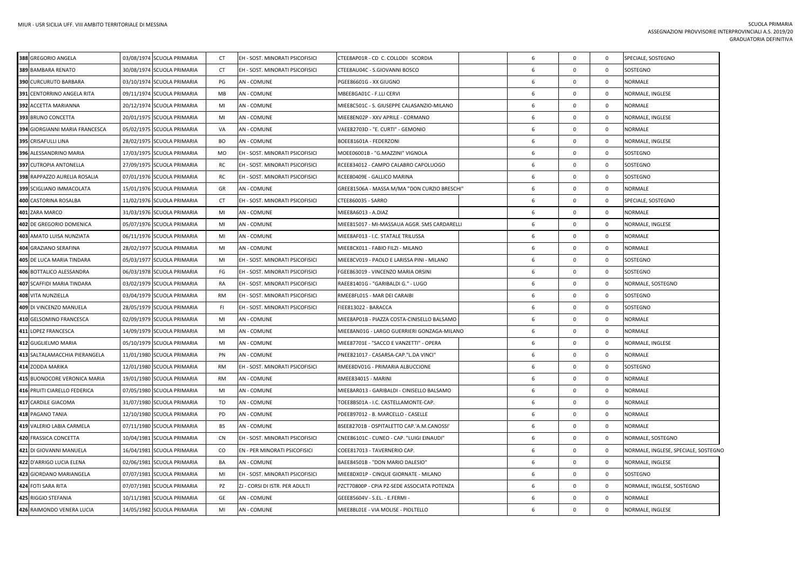| 388 GREGORIO ANGELA            | 03/08/1974 SCUOLA PRIMARIA | <b>CT</b> | EH - SOST. MINORATI PSICOFISICI | CTEE8AP01R - CD C. COLLODI SCORDIA           | 6  | $\mathbf 0$  | $\mathbf 0$    | SPECIALE, SOSTEGNO                   |
|--------------------------------|----------------------------|-----------|---------------------------------|----------------------------------------------|----|--------------|----------------|--------------------------------------|
| 389 BAMBARA RENATO             | 30/08/1974 SCUOLA PRIMARIA | <b>CT</b> | EH - SOST. MINORATI PSICOFISICI | CTEE8AU04C - S.GIOVANNI BOSCO                | 6  | $\Omega$     | $\overline{0}$ | SOSTEGNO                             |
| 390 CURCURUTO BARBARA          | 03/10/1974 SCUOLA PRIMARIA | PG        | <b>AN - COMUNE</b>              | PGEE86601G - XX GIUGNO                       | 6  | $\mathbf 0$  | $\mathbf 0$    | <b>NORMALE</b>                       |
| 391 CENTORRINO ANGELA RITA     | 09/11/1974 SCUOLA PRIMARIA | MB        | <b>AN - COMUNE</b>              | MBEE8GA01C - F.LLI CERVI                     | 6  | $\Omega$     | $\overline{0}$ | NORMALE, INGLESE                     |
| 392 ACCETTA MARIANNA           | 20/12/1974 SCUOLA PRIMARIA | MI        | <b>AN - COMUNE</b>              | MIEE8C501C - S. GIUSEPPE CALASANZIO-MILANO   | 6  | $\mathbf 0$  | $\mathbf 0$    | NORMALE                              |
| 393 BRUNO CONCETTA             | 20/01/1975 SCUOLA PRIMARIA | MI        | AN - COMUNE                     | MIEE8EN02P - XXV APRILE - CORMANO            | 6  | $\mathbf 0$  | $\mathbf 0$    | NORMALE, INGLESE                     |
| 394 GIORGIANNI MARIA FRANCESCA | 05/02/1975 SCUOLA PRIMARIA | VA        | <b>AN - COMUNE</b>              | VAEE82703D - "E. CURTI" - GEMONIO            | 6  | $\Omega$     | $\overline{0}$ | <b>NORMALE</b>                       |
| 395 CRISAFULLI LINA            | 28/02/1975 SCUOLA PRIMARIA | BO        | <b>AN - COMUNE</b>              | BOEE81601A - FEDERZONI                       | 6  | $\mathbf 0$  | $\mathbf 0$    | NORMALE, INGLESE                     |
| 396 ALESSANDRINO MARIA         | 17/03/1975 SCUOLA PRIMARIA | MO        | EH - SOST. MINORATI PSICOFISICI | MOEE06001B - "G.MAZZINI" VIGNOLA             | 6  | $\Omega$     | $\overline{0}$ | SOSTEGNO                             |
| 397 CUTROPIA ANTONELLA         | 27/09/1975 SCUOLA PRIMARIA | RC        | EH - SOST. MINORATI PSICOFISICI | RCEE834012 - CAMPO CALABRO CAPOLUOGO         | 6  | $\mathsf{O}$ | $\mathbf 0$    | SOSTEGNO                             |
| 398 RAPPAZZO AURELIA ROSALIA   | 07/01/1976 SCUOLA PRIMARIA | RC        | EH - SOST. MINORATI PSICOFISICI | RCEE80409E - GALLICO MARINA                  | 6  | $\mathbf 0$  | $\mathbf 0$    | SOSTEGNO                             |
| 399 SCIGLIANO IMMACOLATA       | 15/01/1976 SCUOLA PRIMARIA | GR        | <b>AN - COMUNE</b>              | GREE81506A - MASSA M/MA "DON CURZIO BRESCHI" | 6  | $\Omega$     | $\overline{0}$ | NORMALE                              |
| 400 CASTORINA ROSALBA          | 11/02/1976 SCUOLA PRIMARIA | CT        | EH - SOST. MINORATI PSICOFISICI | CTEE860035 - SARRO                           | 6  | $\mathbf 0$  | $\mathbf 0$    | SPECIALE, SOSTEGNO                   |
| 401 ZARA MARCO                 | 31/03/1976 SCUOLA PRIMARIA | MI        | <b>AN - COMUNE</b>              | MIEE8A6013 - A.DIAZ                          | 6  | $\mathbf 0$  | $\mathbf 0$    | <b>NORMALE</b>                       |
| 402 DE GREGORIO DOMENICA       | 05/07/1976 SCUOLA PRIMARIA | MI        | <b>AN - COMUNE</b>              | MIEE815017 - MI-MASSAUA AGGR. SMS CARDARELLI | 6  | $\mathbf 0$  | $\mathbf 0$    | NORMALE, INGLESE                     |
| 403 AMATO LUISA NUNZIATA       | 06/11/1976 SCUOLA PRIMARIA | MI        | <b>AN - COMUNE</b>              | MIEE8AF013 - I.C. STATALE TRILUSSA           | 6  | $\mathsf 0$  | $\mathbf 0$    | <b>NORMALE</b>                       |
| 404 GRAZIANO SERAFINA          | 28/02/1977 SCUOLA PRIMARIA | MI        | <b>AN - COMUNE</b>              | MIEE8CX011 - FABIO FILZI - MILANO            | 6  | $\mathbf 0$  | $\mathbf 0$    | <b>NORMALE</b>                       |
| 405 DE LUCA MARIA TINDARA      | 05/03/1977 SCUOLA PRIMARIA | MI        | EH - SOST. MINORATI PSICOFISICI | MIEE8CV019 - PAOLO E LARISSA PINI - MILANO   | 6  | $\Omega$     | $\mathbf 0$    | SOSTEGNO                             |
| 406 BOTTALICO ALESSANDRA       | 06/03/1978 SCUOLA PRIMARIA | FG        | EH - SOST. MINORATI PSICOFISICI | FGEE863019 - VINCENZO MARIA ORSINI           | 6  | $\mathbf 0$  | $\overline{0}$ | SOSTEGNO                             |
| 407 SCAFFIDI MARIA TINDARA     | 03/02/1979 SCUOLA PRIMARIA | RA        | EH - SOST. MINORATI PSICOFISICI | RAEE81401G - "GARIBALDI G." - LUGO           | 6  | $\mathbf 0$  | $\mathbf 0$    | NORMALE, SOSTEGNO                    |
| 408 VITA NUNZIELLA             | 03/04/1979 SCUOLA PRIMARIA | <b>RM</b> | EH - SOST. MINORATI PSICOFISICI | RMEE8FL015 - MAR DEI CARAIBI                 | 6  | $\mathbf{0}$ | $\overline{0}$ | SOSTEGNO                             |
| 409 DI VINCENZO MANUELA        | 28/05/1979 SCUOLA PRIMARIA | -FI       | EH - SOST. MINORATI PSICOFISICI | FIEE813022 - BARACCA                         | 6  | $\mathbf 0$  | $\mathbf 0$    | SOSTEGNO                             |
| 410 GELSOMINO FRANCESCA        | 02/09/1979 SCUOLA PRIMARIA | MI        | <b>AN - COMUNE</b>              | MIEE8AP01B - PIAZZA COSTA-CINISELLO BALSAMO  | 6  | $\mathbf{0}$ | $\mathbf 0$    | <b>NORMALE</b>                       |
| 411 LOPEZ FRANCESCA            | 14/09/1979 SCUOLA PRIMARIA | MI        | <b>AN - COMUNE</b>              | MIEE8AN01G - LARGO GUERRIERI GONZAGA-MILANO  | 6  | $\Omega$     | $\mathbf 0$    | NORMALE                              |
| 412 GUGLIELMO MARIA            | 05/10/1979 SCUOLA PRIMARIA | MI        | <b>AN - COMUNE</b>              | MIEE87701E - "SACCO E VANZETTI" - OPERA      | 6  | $\mathbf 0$  | $\mathbf 0$    | NORMALE, INGLESE                     |
| 413 SALTALAMACCHIA PIERANGELA  | 11/01/1980 SCUOLA PRIMARIA | PN        | <b>AN - COMUNE</b>              | PNEE821017 - CASARSA-CAP."L.DA VINCI"        | 6  | $\Omega$     | $\overline{0}$ | <b>NORMALE</b>                       |
| 414 ZODDA MARIKA               | 12/01/1980 SCUOLA PRIMARIA | RM        | EH - SOST. MINORATI PSICOFISICI | RMEE8DV01G - PRIMARIA ALBUCCIONE             | 6  | $\mathbf 0$  | $\mathbf 0$    | SOSTEGNO                             |
| 415 BUONOCORE VERONICA MARIA   | 19/01/1980 SCUOLA PRIMARIA | <b>RM</b> | <b>AN - COMUNE</b>              | RMEE834015 - MARINI                          | 6  | $\Omega$     | $\mathbf 0$    | <b>NORMALE</b>                       |
| 416 PRUITI CIARELLO FEDERICA   | 07/05/1980 SCUOLA PRIMARIA | MI        | <b>AN - COMUNE</b>              | MIEE8AR013 - GARIBALDI - CINISELLO BALSAMO   | 6  | $\mathbf 0$  | $\mathbf 0$    | NORMALE                              |
| 417 CARDILE GIACOMA            | 31/07/1980 SCUOLA PRIMARIA | TO        | <b>AN - COMUNE</b>              | TOEE8BS01A - I.C. CASTELLAMONTE-CAP.         | 6  | $\mathsf 0$  | $\mathbf 0$    | <b>NORMALE</b>                       |
| 418 PAGANO TANIA               | 12/10/1980 SCUOLA PRIMARIA | PD        | AN - COMUNE                     | PDEE897012 - B. MARCELLO - CASELLE           | 6  | $\mathbf{0}$ | $\overline{0}$ | <b>NORMALE</b>                       |
| 419 VALERIO LABIA CARMELA      | 07/11/1980 SCUOLA PRIMARIA | <b>BS</b> | <b>AN - COMUNE</b>              | BSEE82701B - OSPITALETTO CAP.'A.M.CANOSSI'   | 6  | $\mathbf 0$  | $\mathbf 0$    | NORMALE                              |
| 420 FRASSICA CONCETTA          | 10/04/1981 SCUOLA PRIMARIA | <b>CN</b> | EH - SOST. MINORATI PSICOFISICI | CNEE86101C - CUNEO - CAP. "LUIGI EINAUDI"    | 6  | $\mathsf 0$  | $\mathbf 0$    | NORMALE, SOSTEGNO                    |
| 421 DI GIOVANNI MANUELA        | 16/04/1981 SCUOLA PRIMARIA | CO        | EN - PER MINORATI PSICOFISICI   | COEE817013 - TAVERNERIO CAP.                 | 6  | 0            | $\mathbf 0$    | NORMALE, INGLESE, SPECIALE, SOSTEGNC |
| 422 D'ARRIGO LUCIA ELENA       | 02/06/1981 SCUOLA PRIMARIA | BA        | <b>AN - COMUNE</b>              | BAEE84501B - "DON MARIO DALESIO"             | 6  | $\mathbf 0$  | $\overline{0}$ | NORMALE, INGLESE                     |
| 423 GIORDANO MARIANGELA        | 07/07/1981 SCUOLA PRIMARIA | MI        | EH - SOST. MINORATI PSICOFISICI | MIEE8DX01P - CINQUE GIORNATE - MILANO        | 6  | $\mathbf 0$  | $\mathbf 0$    | SOSTEGNO                             |
| 424 FOTI SARA RITA             | 07/07/1981 SCUOLA PRIMARIA | PZ        | ZJ - CORSI DI ISTR. PER ADULTI  | PZCT70800P - CPIA PZ-SEDE ASSOCIATA POTENZA  | 6  | $\Omega$     | $\overline{0}$ | NORMALE, INGLESE, SOSTEGNO           |
| 425 RIGGIO STEFANIA            | 10/11/1981 SCUOLA PRIMARIA | GE        | <b>AN - COMUNE</b>              | GEEE85604V - S.EL. - E.FERMI -               | -6 | $\Omega$     | $\mathbf{0}$   | NORMALE                              |
| 426 RAIMONDO VENERA LUCIA      | 14/05/1982 SCUOLA PRIMARIA | MI        | <b>AN - COMUNE</b>              | MIEE8BL01E - VIA MOLISE - PIOLTELLO          | 6  | $\Omega$     | $\mathbf 0$    | NORMALE, INGLESE                     |